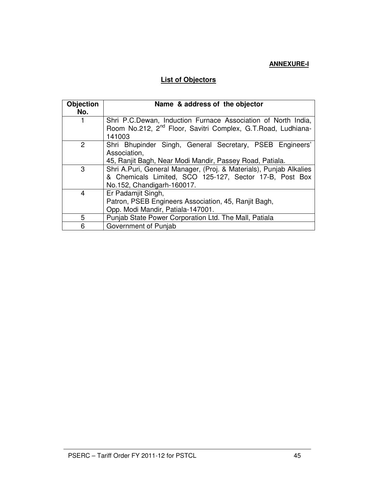# **ANNEXURE-I**

# **List of Objectors**

| <b>Objection</b><br>No. | Name & address of the objector                                                     |
|-------------------------|------------------------------------------------------------------------------------|
|                         | Shri P.C.Dewan, Induction Furnace Association of North India,                      |
|                         | Room No.212, 2 <sup>nd</sup> Floor, Savitri Complex, G.T.Road, Ludhiana-<br>141003 |
| 2                       | Shri Bhupinder Singh, General Secretary, PSEB Engineers'                           |
|                         | Association,                                                                       |
|                         | 45, Ranjit Bagh, Near Modi Mandir, Passey Road, Patiala.                           |
| 3                       | Shri A.Puri, General Manager, (Proj. & Materials), Punjab Alkalies                 |
|                         | & Chemicals Limited, SCO 125-127, Sector 17-B, Post Box                            |
|                         | No.152, Chandigarh-160017.                                                         |
| 4                       | Er Padamjit Singh,                                                                 |
|                         | Patron, PSEB Engineers Association, 45, Ranjit Bagh,                               |
|                         | Opp. Modi Mandir, Patiala-147001.                                                  |
| 5                       | Punjab State Power Corporation Ltd. The Mall, Patiala                              |
| 6                       | Government of Punjab                                                               |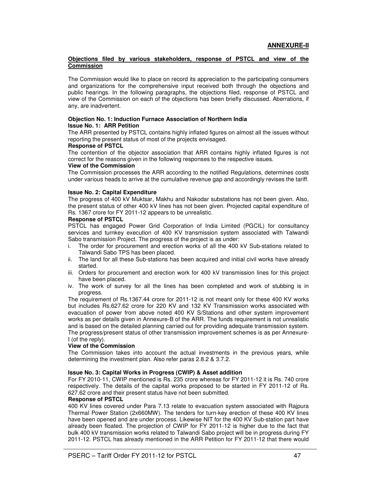## **Objections filed by various stakeholders, response of PSTCL and view of the Commission**

The Commission would like to place on record its appreciation to the participating consumers and organizations for the comprehensive input received both through the objections and public hearings. In the following paragraphs, the objections filed, response of PSTCL and view of the Commission on each of the objections has been briefly discussed. Aberrations, if any, are inadvertent.

## **Objection No. 1: Induction Furnace Association of Northern India Issue No. 1: ARR Petition**

The ARR presented by PSTCL contains highly inflated figures on almost all the issues without reporting the present status of most of the projects envisaged.

#### **Response of PSTCL**

The contention of the objector association that ARR contains highly inflated figures is not correct for the reasons given in the following responses to the respective issues.

#### **View of the Commission**

The Commission processes the ARR according to the notified Regulations, determines costs under various heads to arrive at the cumulative revenue gap and accordingly revises the tariff.

## **Issue No. 2: Capital Expenditure**

The progress of 400 kV Muktsar, Makhu and Nakodar substations has not been given. Also, the present status of other 400 kV lines has not been given. Projected capital expenditure of Rs. 1367 crore for FY 2011-12 appears to be unrealistic.

#### **Response of PSTCL**

PSTCL has engaged Power Grid Corporation of India Limited (PGCIL) for consultancy services and turnkey execution of 400 KV transmission system associated with Talwandi Sabo transmission Project. The progress of the project is as under:

- i. The order for procurement and erection works of all the 400 kV Sub-stations related to Talwandi Sabo TPS has been placed.
- ii. The land for all these Sub-stations has been acquired and initial civil works have already started.
- iii. Orders for procurement and erection work for 400 kV transmission lines for this project have been placed.
- iv. The work of survey for all the lines has been completed and work of stubbing is in progress.

The requirement of Rs.1367.44 crore for 2011-12 is not meant only for these 400 KV works but includes Rs.627.62 crore for 220 KV and 132 KV Transmission works associated with evacuation of power from above noted 400 KV S/Stations and other system improvement works as per details given in Annexure-B of the ARR. The funds requirement is not unrealistic and is based on the detailed planning carried out for providing adequate transmission system. The progress/present status of other transmission improvement schemes is as per Annexure-I (of the reply).

## **View of the Commission**

The Commission takes into account the actual investments in the previous years, while determining the investment plan. Also refer paras 2.8.2 & 3.7.2.

## **Issue No. 3: Capital Works in Progress (CWIP) & Asset addition**

For FY 2010-11, CWIP mentioned is Rs. 235 crore whereas for FY 2011-12 it is Rs. 740 crore respectively. The details of the capital works proposed to be started in FY 2011-12 of Rs. 627.62 crore and their present status have not been submitted.

#### **Response of PSTCL**

400 KV lines covered under Para 7.13 relate to evacuation system associated with Rajpura Thermal Power Station (2x660MW). The tenders for turn-key erection of these 400 KV lines have been opened and are under process. Likewise NIT for the 400 KV Sub-station part have already been floated. The projection of CWIP for FY 2011-12 is higher due to the fact that bulk 400 kV transmission works related to Talwandi Sabo project will be in progress during FY 2011-12. PSTCL has already mentioned in the ARR Petition for FY 2011-12 that there would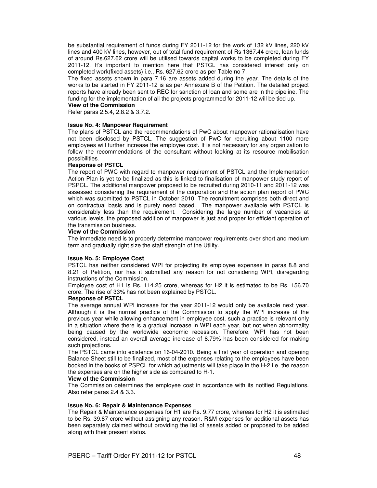be substantial requirement of funds during FY 2011-12 for the work of 132 kV lines, 220 kV lines and 400 kV lines, however, out of total fund requirement of Rs 1367.44 crore, loan funds of around Rs.627.62 crore will be utilised towards capital works to be completed during FY 2011-12. It's important to mention here that PSTCL has considered interest only on completed work(fixed assets) i.e., Rs. 627.62 crore as per Table no 7.

The fixed assets shown in para 7.16 are assets added during the year. The details of the works to be started in FY 2011-12 is as per Annexure B of the Petition. The detailed project reports have already been sent to REC for sanction of loan and some are in the pipeline. The funding for the implementation of all the projects programmed for 2011-12 will be tied up.

## **View of the Commission**

Refer paras 2.5.4, 2.8.2 & 3.7.2.

#### **Issue No. 4: Manpower Requirement**

The plans of PSTCL and the recommendations of PwC about manpower rationalisation have not been disclosed by PSTCL. The suggestion of PwC for recruiting about 1100 more employees will further increase the employee cost. It is not necessary for any organization to follow the recommendations of the consultant without looking at its resource mobilisation possibilities.

#### **Response of PSTCL**

The report of PWC with regard to manpower requirement of PSTCL and the Implementation Action Plan is yet to be finalized as this is linked to finalisation of manpower study report of PSPCL. The additional manpower proposed to be recruited during 2010-11 and 2011-12 was assessed considering the requirement of the corporation and the action plan report of PWC which was submitted to PSTCL in October 2010. The recruitment comprises both direct and on contractual basis and is purely need based. The manpower available with PSTCL is considerably less than the requirement. Considering the large number of vacancies at various levels, the proposed addition of manpower is just and proper for efficient operation of the transmission business.

#### **View of the Commission**

The immediate need is to properly determine manpower requirements over short and medium term and gradually right size the staff strength of the Utility.

#### **Issue No. 5: Employee Cost**

PSTCL has neither considered WPI for projecting its employee expenses in paras 8.8 and 8.21 of Petition, nor has it submitted any reason for not considering WPI, disregarding instructions of the Commission.

Employee cost of H1 is Rs. 114.25 crore, whereas for H2 it is estimated to be Rs. 156.70 crore. The rise of 33% has not been explained by PSTCL.

#### **Response of PSTCL**

The average annual WPI increase for the year 2011-12 would only be available next year. Although it is the normal practice of the Commission to apply the WPI increase of the previous year while allowing enhancement in employee cost, such a practice is relevant only in a situation where there is a gradual increase in WPI each year, but not when abnormality being caused by the worldwide economic recession. Therefore, WPI has not been considered, instead an overall average increase of 8.79% has been considered for making such projections.

The PSTCL came into existence on 16-04-2010. Being a first year of operation and opening Balance Sheet still to be finalized, most of the expenses relating to the employees have been booked in the books of PSPCL for which adjustments will take place in the H-2 i.e. the reason the expenses are on the higher side as compared to H-1.

#### **View of the Commission**

The Commission determines the employee cost in accordance with its notified Regulations. Also refer paras 2.4 & 3.3.

#### **Issue No. 6: Repair & Maintenance Expenses**

The Repair & Maintenance expenses for H1 are Rs. 9.77 crore, whereas for H2 it is estimated to be Rs. 39.87 crore without assigning any reason. R&M expenses for additional assets has been separately claimed without providing the list of assets added or proposed to be added along with their present status.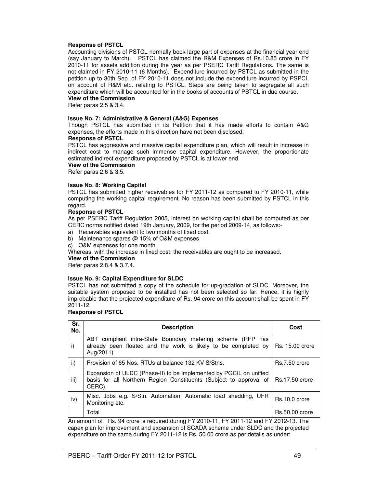## **Response of PSTCL**

Accounting divisions of PSTCL normally book large part of expenses at the financial year end (say January to March). PSTCL has claimed the R&M Expenses of Rs.10.85 crore in FY 2010-11 for assets addition during the year as per PSERC Tariff Regulations. The same is not claimed in FY 2010-11 (6 Months). Expenditure incurred by PSTCL as submitted in the petition up to 30th Sep. of FY 2010-11 does not include the expenditure incurred by PSPCL on account of R&M etc. relating to PSTCL. Steps are being taken to segregate all such expenditure which will be accounted for in the books of accounts of PSTCL in due course.

## **View of the Commission**

Refer paras 2.5 & 3.4.

## **Issue No. 7: Administrative & General (A&G) Expenses**

Though PSTCL has submitted in its Petition that it has made efforts to contain A&G expenses, the efforts made in this direction have not been disclosed.

## **Response of PSTCL**

PSTCL has aggressive and massive capital expenditure plan, which will result in increase in indirect cost to manage such immense capital expenditure. However, the proportionate estimated indirect expenditure proposed by PSTCL is at lower end.

**View of the Commission** 

Refer paras 2.6 & 3.5.

#### **Issue No. 8: Working Capital**

PSTCL has submitted higher receivables for FY 2011-12 as compared to FY 2010-11, while computing the working capital requirement. No reason has been submitted by PSTCL in this regard.

#### **Response of PSTCL**

As per PSERC Tariff Regulation 2005, interest on working capital shall be computed as per CERC norms notified dated 19th January, 2009, for the period 2009-14, as follows:-

- a) Receivables equivalent to two months of fixed cost.
- b) Maintenance spares @ 15% of O&M expenses
- c) O&M expenses for one month

Whereas, with the increase in fixed cost, the receivables are ought to be increased.

**View of the Commission** 

Refer paras 2.8.4 & 3.7.4.

## **Issue No. 9: Capital Expenditure for SLDC**

PSTCL has not submitted a copy of the schedule for up-gradation of SLDC. Moreover, the suitable system proposed to be installed has not been selected so far. Hence, it is highly improbable that the projected expenditure of Rs. 94 crore on this account shall be spent in FY 2011-12.

## **Response of PSTCL**

| Sr.<br>No.      | <b>Description</b>                                                                                                                                           | Cost                  |
|-----------------|--------------------------------------------------------------------------------------------------------------------------------------------------------------|-----------------------|
| i)              | ABT compliant intra-State Boundary metering scheme (RFP has<br>already been floated and the work is likely to be completed by   Rs. 15.00 crore<br>Aug/2011) |                       |
| $\mathsf{ii}$ ) | Provision of 65 Nos. RTUs at balance 132 KV S/Stns.                                                                                                          | Rs.7.50 crore         |
| iii)            | Expansion of ULDC (Phase-II) to be implemented by PGCIL on unified<br>basis for all Northern Region Constituents (Subject to approval of<br>CERC).           | l Rs.17.50 crore      |
| iv)             | Misc. Jobs e.g. S/Stn. Automation, Automatic load shedding, UFR<br>Monitoring etc.                                                                           | Rs.10.0 crore         |
|                 | Total                                                                                                                                                        | <b>Rs.50.00 crore</b> |

An amount of Rs. 94 crore is required during FY 2010-11, FY 2011-12 and FY 2012-13. The capex plan for improvement and expansion of SCADA scheme under SLDC and the projected expenditure on the same during FY 2011-12 is Rs. 50.00 crore as per details as under: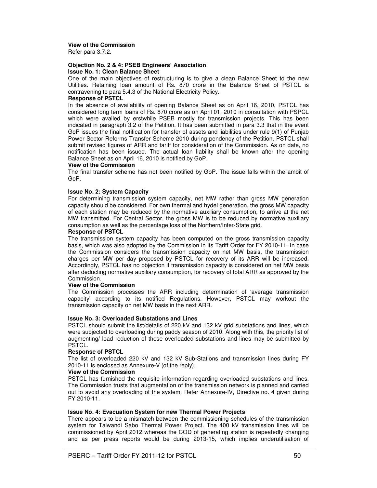#### **View of the Commission**

Refer para 3.7.2.

#### **Objection No. 2 & 4: PSEB Engineers' Association Issue No. 1: Clean Balance Sheet**

One of the main objectives of restructuring is to give a clean Balance Sheet to the new Utilities. Retaining loan amount of Rs. 870 crore in the Balance Sheet of PSTCL is contravening to para 5.4.3 of the National Electricity Policy.

## **Response of PSTCL**

In the absence of availability of opening Balance Sheet as on April 16, 2010, PSTCL has considered long term loans of Rs. 870 crore as on April 01, 2010 in consultation with PSPCL which were availed by erstwhile PSEB mostly for transmission projects. This has been indicated in paragraph 3.2 of the Petition. It has been submitted in para 3.3 that in the event GoP issues the final notification for transfer of assets and liabilities under rule 9(1) of Punjab Power Sector Reforms Transfer Scheme 2010 during pendency of the Petition, PSTCL shall submit revised figures of ARR and tariff for consideration of the Commission. As on date, no notification has been issued. The actual loan liability shall be known after the opening Balance Sheet as on April 16, 2010 is notified by GoP.

#### **View of the Commission**

The final transfer scheme has not been notified by GoP. The issue falls within the ambit of GoP.

#### **Issue No. 2: System Capacity**

For determining transmission system capacity, net MW rather than gross MW generation capacity should be considered. For own thermal and hydel generation, the gross MW capacity of each station may be reduced by the normative auxiliary consumption, to arrive at the net MW transmitted. For Central Sector, the gross MW is to be reduced by normative auxiliary consumption as well as the percentage loss of the Northern/Inter-State grid.

#### **Response of PSTCL**

The transmission system capacity has been computed on the gross transmission capacity basis, which was also adopted by the Commission in its Tariff Order for FY 2010-11. In case the Commission considers the transmission capacity on net MW basis, the transmission charges per MW per day proposed by PSTCL for recovery of its ARR will be increased. Accordingly, PSTCL has no objection if transmission capacity is considered on net MW basis after deducting normative auxiliary consumption, for recovery of total ARR as approved by the Commission.

## **View of the Commission**

The Commission processes the ARR including determination of 'average transmission capacity' according to its notified Regulations. However, PSTCL may workout the transmission capacity on net MW basis in the next ARR.

#### **Issue No. 3: Overloaded Substations and Lines**

PSTCL should submit the list/details of 220 kV and 132 kV grid substations and lines, which were subjected to overloading during paddy season of 2010. Along with this, the priority list of augmenting/ load reduction of these overloaded substations and lines may be submitted by PSTCL.

#### **Response of PSTCL**

The list of overloaded 220 kV and 132 kV Sub-Stations and transmission lines during FY 2010-11 is enclosed as Annexure-V (of the reply).

#### **View of the Commission**

PSTCL has furnished the requisite information regarding overloaded substations and lines. The Commission trusts that augmentation of the transmission network is planned and carried out to avoid any overloading of the system. Refer Annexure-IV, Directive no. 4 given during FY 2010-11.

## **Issue No. 4: Evacuation System for new Thermal Power Projects**

There appears to be a mismatch between the commissioning schedules of the transmission system for Talwandi Sabo Thermal Power Project. The 400 kV transmission lines will be commissioned by April 2012 whereas the COD of generating station is repeatedly changing and as per press reports would be during 2013-15, which implies underutilisation of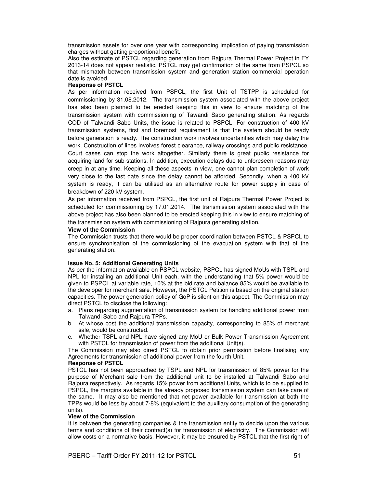transmission assets for over one year with corresponding implication of paying transmission charges without getting proportional benefit.

Also the estimate of PSTCL regarding generation from Rajpura Thermal Power Project in FY 2013-14 does not appear realistic. PSTCL may get confirmation of the same from PSPCL so that mismatch between transmission system and generation station commercial operation date is avoided.

## **Response of PSTCL**

As per information received from PSPCL, the first Unit of TSTPP is scheduled for commissioning by 31.08.2012. The transmission system associated with the above project has also been planned to be erected keeping this in view to ensure matching of the transmission system with commissioning of Tawandi Sabo generating station. As regards COD of Talwandi Sabo Units, the issue is related to PSPCL. For construction of 400 kV transmission systems, first and foremost requirement is that the system should be ready before generation is ready. The construction work involves uncertainties which may delay the work. Construction of lines involves forest clearance, railway crossings and public resistance. Court cases can stop the work altogether. Similarly there is great public resistance for acquiring land for sub-stations. In addition, execution delays due to unforeseen reasons may creep in at any time. Keeping all these aspects in view, one cannot plan completion of work very close to the last date since the delay cannot be afforded. Secondly, when a 400 kV system is ready, it can be utilised as an alternative route for power supply in case of breakdown of 220 kV system.

As per information received from PSPCL, the first unit of Rajpura Thermal Power Project is scheduled for commissioning by 17.01.2014. The transmission system associated with the above project has also been planned to be erected keeping this in view to ensure matching of the transmission system with commissioning of Rajpura generating station.

#### **View of the Commission**

The Commission trusts that there would be proper coordination between PSTCL & PSPCL to ensure synchronisation of the commissioning of the evacuation system with that of the generating station.

## **Issue No. 5: Additional Generating Units**

As per the information available on PSPCL website, PSPCL has signed MoUs with TSPL and NPL for installing an additional Unit each, with the understanding that 5% power would be given to PSPCL at variable rate, 10% at the bid rate and balance 85% would be available to the developer for merchant sale. However, the PSTCL Petition is based on the original station capacities. The power generation policy of GoP is silent on this aspect. The Commission may direct PSTCL to disclose the following:

- a. Plans regarding augmentation of transmission system for handling additional power from Talwandi Sabo and Rajpura TPPs.
- b. At whose cost the additional transmission capacity, corresponding to 85% of merchant sale, would be constructed.
- c. Whether TSPL and NPL have signed any MoU or Bulk Power Transmission Agreement with PSTCL for transmission of power from the additional Unit(s).

The Commission may also direct PSTCL to obtain prior permission before finalising any Agreements for transmission of additional power from the fourth Unit.

## **Response of PSTCL**

PSTCL has not been approached by TSPL and NPL for transmission of 85% power for the purpose of Merchant sale from the additional unit to be installed at Talwandi Sabo and Rajpura respectively. As regards 15% power from additional Units, which is to be supplied to PSPCL, the margins available in the already proposed transmission system can take care of the same. It may also be mentioned that net power available for transmission at both the TPPs would be less by about 7-8% (equivalent to the auxiliary consumption of the generating units).

## **View of the Commission**

It is between the generating companies & the transmission entity to decide upon the various terms and conditions of their contract(s) for transmission of electricity. The Commission will allow costs on a normative basis. However, it may be ensured by PSTCL that the first right of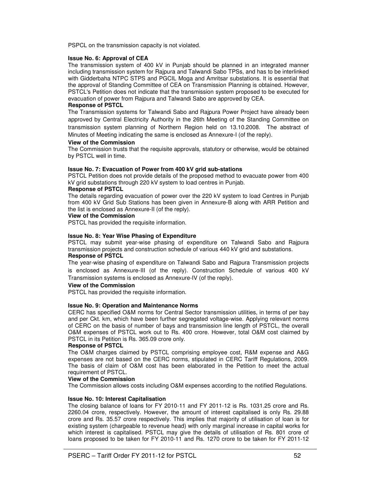PSPCL on the transmission capacity is not violated.

#### **Issue No. 6: Approval of CEA**

The transmission system of 400 kV in Punjab should be planned in an integrated manner including transmission system for Rajpura and Talwandi Sabo TPSs, and has to be interlinked with Gidderbaha NTPC STPS and PGCIL Moga and Amritsar substations. It is essential that the approval of Standing Committee of CEA on Transmission Planning is obtained. However, PSTCL's Petition does not indicate that the transmission system proposed to be executed for evacuation of power from Rajpura and Talwandi Sabo are approved by CEA.

#### **Response of PSTCL**

The Transmission systems for Talwandi Sabo and Rajpura Power Project have already been approved by Central Electricity Authority in the 26th Meeting of the Standing Committee on transmission system planning of Northern Region held on 13.10.2008. The abstract of Minutes of Meeting indicating the same is enclosed as Annexure-I (of the reply).

#### **View of the Commission**

The Commission trusts that the requisite approvals, statutory or otherwise, would be obtained by PSTCL well in time.

#### **Issue No. 7: Evacuation of Power from 400 kV grid sub-stations**

PSTCL Petition does not provide details of the proposed method to evacuate power from 400 kV grid substations through 220 kV system to load centres in Punjab.

#### **Response of PSTCL**

The details regarding evacuation of power over the 220 kV system to load Centres in Punjab from 400 kV Grid Sub Stations has been given in Annexure-B along with ARR Petition and the list is enclosed as Annexure-II (of the reply).

#### **View of the Commission**

PSTCL has provided the requisite information.

#### **Issue No. 8: Year Wise Phasing of Expenditure**

PSTCL may submit year-wise phasing of expenditure on Talwandi Sabo and Rajpura transmission projects and construction schedule of various 440 kV grid and substations. **Response of PSTCL** 

The year-wise phasing of expenditure on Talwandi Sabo and Rajpura Transmission projects is enclosed as Annexure-III (of the reply). Construction Schedule of various 400 kV Transmission systems is enclosed as Annexure-IV (of the reply).

#### **View of the Commission**

PSTCL has provided the requisite information.

#### **Issue No. 9: Operation and Maintenance Norms**

CERC has specified O&M norms for Central Sector transmission utilities, in terms of per bay and per Ckt. km, which have been further segregated voltage-wise. Applying relevant norms of CERC on the basis of number of bays and transmission line length of PSTCL, the overall O&M expenses of PSTCL work out to Rs. 400 crore. However, total O&M cost claimed by PSTCL in its Petition is Rs. 365.09 crore only.

### **Response of PSTCL**

The O&M charges claimed by PSTCL comprising employee cost, R&M expense and A&G expenses are not based on the CERC norms, stipulated in CERC Tariff Regulations, 2009. The basis of claim of O&M cost has been elaborated in the Petition to meet the actual requirement of PSTCL.

#### **View of the Commission**

The Commission allows costs including O&M expenses according to the notified Regulations.

#### **Issue No. 10: Interest Capitalisation**

The closing balance of loans for FY 2010-11 and FY 2011-12 is Rs. 1031.25 crore and Rs. 2260.04 crore, respectively. However, the amount of interest capitalised is only Rs. 29.88 crore and Rs. 35.57 crore respectively. This implies that majority of utilisation of loan is for existing system (chargeable to revenue head) with only marginal increase in capital works for which interest is capitalised. PSTCL may give the details of utilisation of Rs. 801 crore of loans proposed to be taken for FY 2010-11 and Rs. 1270 crore to be taken for FY 2011-12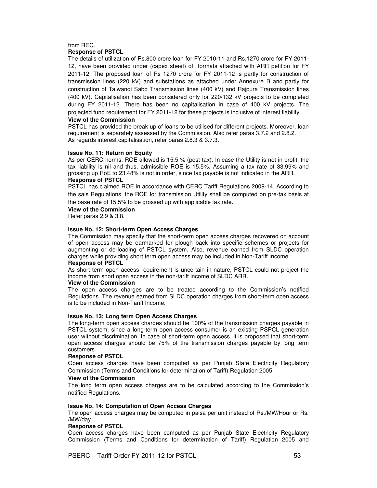#### from REC. **Response of PSTCL**

The details of utilization of Rs.800 crore loan for FY 2010-11 and Rs.1270 crore for FY 2011- 12, have been provided under (capex sheet) of formats attached with ARR petition for FY 2011-12. The proposed loan of Rs 1270 crore for FY 2011-12 is partly for construction of transmission lines (220 kV) and substations as attached under Annexure B and partly for construction of Talwandi Sabo Transmission lines (400 kV) and Rajpura Transmission lines (400 kV). Capitalisation has been considered only for 220/132 kV projects to be completed during FY 2011-12. There has been no capitalisation in case of 400 kV projects. The projected fund requirement for FY 2011-12 for these projects is inclusive of interest liability.

#### **View of the Commission**

PSTCL has provided the break up of loans to be utilised for different projects. Moreover, loan requirement is separately assessed by the Commission. Also refer paras 3.7.2 and 2.8.2. As regards interest capitalisation, refer paras 2.8.3 & 3.7.3.

#### **Issue No. 11: Return on Equity**

As per CERC norms, ROE allowed is 15.5 % (post tax). In case the Utility is not in profit, the tax liability is nil and thus, admissible ROE is 15.5%. Assuming a tax rate of 33.99% and grossing up RoE to 23.48% is not in order, since tax payable is not indicated in the ARR.

#### **Response of PSTCL**

PSTCL has claimed ROE in accordance with CERC Tariff Regulations 2009-14. According to the sais Regulations, the ROE for transmission Utility shall be computed on pre-tax basis at the base rate of 15.5% to be grossed up with applicable tax rate.

#### **View of the Commission**

Refer paras 2.9 & 3.8.

#### **Issue No. 12: Short-term Open Access Charges**

The Commission may specify that the short-term open access charges recovered on account of open access may be earmarked for plough back into specific schemes or projects for augmenting or de-loading of PSTCL system. Also, revenue earned from SLDC operation charges while providing short term open access may be included in Non-Tariff Income.

## **Response of PSTCL**

As short term open access requirement is uncertain in nature, PSTCL could not project the income from short open access in the non-tariff income of SLDC ARR.

#### **View of the Commission**

The open access charges are to be treated according to the Commission's notified Regulations. The revenue earned from SLDC operation charges from short-term open access is to be included in Non-Tariff Income.

#### **Issue No. 13: Long term Open Access Charges**

The long-term open access charges should be 100% of the transmission charges payable in PSTCL system, since a long-term open access consumer is an existing PSPCL generation user without discrimination. In case of short-term open access, it is proposed that short-term open access charges should be 75% of the transmission charges payable by long term customers.

#### **Response of PSTCL**

Open access charges have been computed as per Punjab State Electricity Regulatory Commission (Terms and Conditions for determination of Tariff) Regulation 2005.

#### **View of the Commission**

The long term open access charges are to be calculated according to the Commission's notified Regulations.

#### **Issue No. 14: Computation of Open Access Charges**

The open access charges may be computed in paisa per unit instead of Rs./MW/Hour or Rs. /MW/day.

## **Response of PSTCL**

Open access charges have been computed as per Punjab State Electricity Regulatory Commission (Terms and Conditions for determination of Tariff) Regulation 2005 and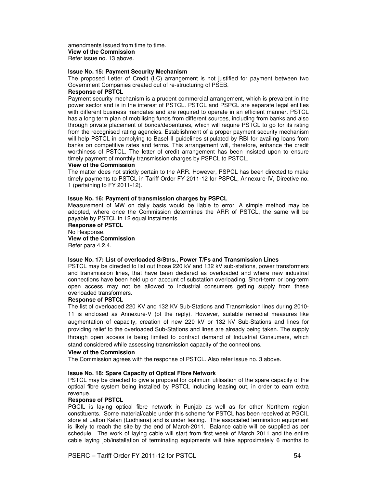amendments issued from time to time.

**View of the Commission** 

Refer issue no. 13 above.

## **Issue No. 15: Payment Security Mechanism**

The proposed Letter of Credit (LC) arrangement is not justified for payment between two Government Companies created out of re-structuring of PSEB.

## **Response of PSTCL**

Payment security mechanism is a prudent commercial arrangement, which is prevalent in the power sector and is in the interest of PSTCL. PSTCL and PSPCL are separate legal entities with different business mandates and are required to operate in an efficient manner. PSTCL has a long term plan of mobilising funds from different sources, including from banks and also through private placement of bonds/debentures, which will require PSTCL to go for its rating from the recognised rating agencies. Establishment of a proper payment security mechanism will help PSTCL in complying to Basel II guidelines stipulated by RBI for availing loans from banks on competitive rates and terms. This arrangement will, therefore, enhance the credit worthiness of PSTCL. The letter of credit arrangement has been insisted upon to ensure timely payment of monthly transmission charges by PSPCL to PSTCL.

#### **View of the Commission**

The matter does not strictly pertain to the ARR. However, PSPCL has been directed to make timely payments to PSTCL in Tariff Order FY 2011-12 for PSPCL, Annexure-IV, Directive no. 1 (pertaining to FY 2011-12).

#### **Issue No. 16: Payment of transmission charges by PSPCL**

Measurement of MW on daily basis would be liable to error. A simple method may be adopted, where once the Commission determines the ARR of PSTCL, the same will be payable by PSTCL in 12 equal instalments.

#### **Response of PSTCL**  No Response. **View of the Commission**  Refer para 4.2.4.

## **Issue No. 17: List of overloaded S/Stns., Power T/Fs and Transmission Lines**

PSTCL may be directed to list out those 220 kV and 132 kV sub-stations, power transformers and transmission lines, that have been declared as overloaded and where new industrial connections have been held up on account of substation overloading. Short-term or long-term open access may not be allowed to industrial consumers getting supply from these overloaded transformers.

## **Response of PSTCL**

The list of overloaded 220 KV and 132 KV Sub-Stations and Transmission lines during 2010- 11 is enclosed as Annexure-V (of the reply). However, suitable remedial measures like augmentation of capacity, creation of new 220 kV or 132 kV Sub-Stations and lines for providing relief to the overloaded Sub-Stations and lines are already being taken. The supply through open access is being limited to contract demand of Industrial Consumers, which stand considered while assessing transmission capacity of the connections.

#### **View of the Commission**

The Commission agrees with the response of PSTCL. Also refer issue no. 3 above.

## **Issue No. 18: Spare Capacity of Optical Fibre Network**

PSTCL may be directed to give a proposal for optimum utilisation of the spare capacity of the optical fibre system being installed by PSTCL including leasing out, in order to earn extra revenue.

## **Response of PSTCL**

PGCIL is laying optical fibre network in Punjab as well as for other Northern region constituents. Some material/cable under this scheme for PSTCL has been received at PGCIL store at Lalton Kalan (Ludhiana) and is under testing. The associated termination equipment is likely to reach the site by the end of March-2011. Balance cable will be supplied as per schedule. The work of laying cable will start from first week of March 2011 and the entire cable laying job/installation of terminating equipments will take approximately 6 months to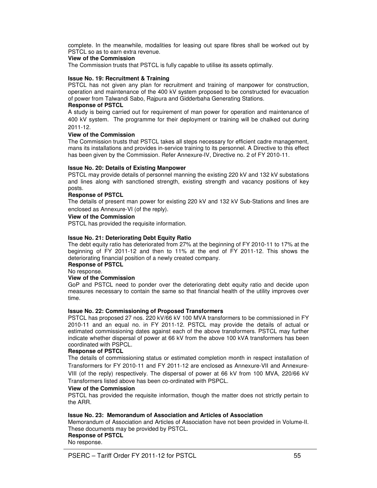complete. In the meanwhile, modalities for leasing out spare fibres shall be worked out by PSTCL so as to earn extra revenue.

#### **View of the Commission**

The Commission trusts that PSTCL is fully capable to utilise its assets optimally.

#### **Issue No. 19: Recruitment & Training**

PSTCL has not given any plan for recruitment and training of manpower for construction, operation and maintenance of the 400 kV system proposed to be constructed for evacuation of power from Talwandi Sabo, Rajpura and Gidderbaha Generating Stations.

#### **Response of PSTCL**

A study is being carried out for requirement of man power for operation and maintenance of 400 kV system. The programme for their deployment or training will be chalked out during 2011-12.

#### **View of the Commission**

The Commission trusts that PSTCL takes all steps necessary for efficient cadre management, mans its installations and provides in-service training to its personnel. A Directive to this effect has been given by the Commission. Refer Annexure-IV, Directive no. 2 of FY 2010-11.

#### **Issue No. 20: Details of Existing Manpower**

PSTCL may provide details of personnel manning the existing 220 kV and 132 kV substations and lines along with sanctioned strength, existing strength and vacancy positions of key posts.

#### **Response of PSTCL**

The details of present man power for existing 220 kV and 132 kV Sub-Stations and lines are enclosed as Annexure-VI (of the reply).

#### **View of the Commission**

PSTCL has provided the requisite information.

## **Issue No. 21: Deteriorating Debt Equity Ratio**

The debt equity ratio has deteriorated from 27% at the beginning of FY 2010-11 to 17% at the beginning of FY 2011-12 and then to 11% at the end of FY 2011-12. This shows the deteriorating financial position of a newly created company. **Response of PSTCL** 

No response.

## **View of the Commission**

GoP and PSTCL need to ponder over the deteriorating debt equity ratio and decide upon measures necessary to contain the same so that financial health of the utility improves over time.

## **Issue No. 22: Commissioning of Proposed Transformers**

PSTCL has proposed 27 nos. 220 kV/66 kV 100 MVA transformers to be commissioned in FY 2010-11 and an equal no. in FY 2011-12. PSTCL may provide the details of actual or estimated commissioning dates against each of the above transformers. PSTCL may further indicate whether dispersal of power at 66 kV from the above 100 kVA transformers has been coordinated with PSPCL.

#### **Response of PSTCL**

The details of commissioning status or estimated completion month in respect installation of Transformers for FY 2010-11 and FY 2011-12 are enclosed as Annexure-VII and Annexure-VIII (of the reply) respectively. The dispersal of power at 66 kV from 100 MVA, 220/66 kV Transformers listed above has been co-ordinated with PSPCL.

#### **View of the Commission**

PSTCL has provided the requisite information, though the matter does not strictly pertain to the ARR.

#### **Issue No. 23: Memorandum of Association and Articles of Association**

Memorandum of Association and Articles of Association have not been provided in Volume-II. These documents may be provided by PSTCL.

**Response of PSTCL**  No response.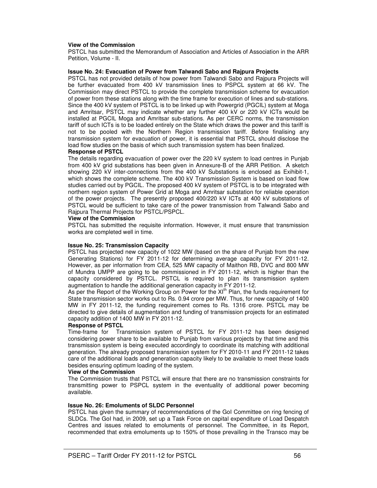#### **View of the Commission**

PSTCL has submitted the Memorandum of Association and Articles of Association in the ARR Petition, Volume - II.

#### **Issue No. 24: Evacuation of Power from Talwandi Sabo and Rajpura Projects**

PSTCL has not provided details of how power from Talwandi Sabo and Rajpura Projects will be further evacuated from 400 kV transmission lines to PSPCL system at 66 kV. The Commission may direct PSTCL to provide the complete transmission scheme for evacuation of power from these stations along with the time frame for execution of lines and sub-stations. Since the 400 kV system of PSTCL is to be linked up with Powergrid (PGCIL) system at Moga and Amritsar, PSTCL may indicate whether any further 400 kV or 220 kV ICTs would be installed at PGCIL Moga and Amritsar sub-stations. As per CERC norms, the transmission tariff of such ICTs is to be loaded entirely on the State which draws the power and this tariff is not to be pooled with the Northern Region transmission tariff. Before finalising any transmission system for evacuation of power, it is essential that PSTCL should disclose the load flow studies on the basis of which such transmission system has been finalized.

## **Response of PSTCL**

The details regarding evacuation of power over the 220 kV system to load centres in Punjab from 400 kV grid substations has been given in Annexure-B of the ARR Petition. A sketch showing 220 kV inter-connections from the 400 kV Substations is enclosed as Exihibit-1, which shows the complete scheme. The 400 kV Transmission System is based on load flow studies carried out by PGCIL. The proposed 400 kV system of PSTCL is to be integrated with northern region system of Power Grid at Moga and Amritsar substation for reliable operation of the power projects. The presently proposed 400/220 kV ICTs at 400 kV substations of PSTCL would be sufficient to take care of the power transmission from Talwandi Sabo and Rajpura Thermal Projects for PSTCL/PSPCL.

#### **View of the Commission**

PSTCL has submitted the requisite information. However, it must ensure that transmission works are completed well in time.

#### **Issue No. 25: Transmission Capacity**

PSTCL has projected new capacity of 1022 MW (based on the share of Punjab from the new Generating Stations) for FY 2011-12 for determining average capacity for FY 2011-12. However, as per information from CEA, 525 MW capacity of Maithon RB, DVC and 800 MW of Mundra UMPP are going to be commissioned in FY 2011-12, which is higher than the capacity considered by PSTCL. PSTCL is required to plan its transmission system augmentation to handle the additional generation capacity in FY 2011-12.

As per the Report of the Working Group on Power for the XI<sup>th</sup> Plan, the funds requirement for State transmission sector works out to Rs. 0.94 crore per MW. Thus, for new capacity of 1400 MW in FY 2011-12, the funding requirement comes to Rs. 1316 crore. PSTCL may be directed to give details of augmentation and funding of transmission projects for an estimated capacity addition of 1400 MW in FY 2011-12.

#### **Response of PSTCL**

Time-frame for Transmission system of PSTCL for FY 2011-12 has been designed considering power share to be available to Punjab from various projects by that time and this transmission system is being executed accordingly to coordinate its matching with additional generation. The already proposed transmission system for FY 2010-11 and FY 2011-12 takes care of the additional loads and generation capacity likely to be available to meet these loads besides ensuring optimum loading of the system.

#### **View of the Commission**

The Commission trusts that PSTCL will ensure that there are no transmission constraints for transmitting power to PSPCL system in the eventuality of additional power becoming available.

#### **Issue No. 26: Emoluments of SLDC Personnel**

PSTCL has given the summary of recommendations of the GoI Committee on ring fencing of SLDCs. The GoI had, in 2009, set up a Task Force on capital expenditure of Load Despatch Centres and issues related to emoluments of personnel. The Committee, in its Report, recommended that extra emoluments up to 150% of those prevailing in the Transco may be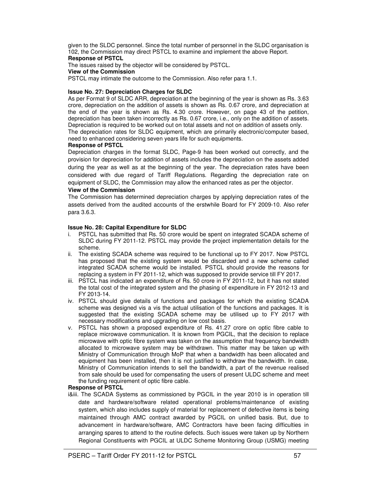given to the SLDC personnel. Since the total number of personnel in the SLDC organisation is 102, the Commission may direct PSTCL to examine and implement the above Report.

#### **Response of PSTCL**

The issues raised by the objector will be considered by PSTCL.

## **View of the Commission**

PSTCL may intimate the outcome to the Commission. Also refer para 1.1.

## **Issue No. 27: Depreciation Charges for SLDC**

As per Format 9 of SLDC ARR, depreciation at the beginning of the year is shown as Rs. 3.63 crore, depreciation on the addition of assets is shown as Rs. 0.67 crore, and depreciation at the end of the year is shown as Rs. 4.30 crore. However, on page 43 of the petition, depreciation has been taken incorrectly as Rs. 0.67 crore, i.e., only on the addition of assets. Depreciation is required to be worked out on total assets and not on addition of assets only. The depreciation rates for SLDC equipment, which are primarily electronic/computer based, need to enhanced considering seven years life for such equipments.

#### **Response of PSTCL**

Depreciation charges in the format SLDC, Page-9 has been worked out correctly, and the provision for depreciation for addition of assets includes the depreciation on the assets added during the year as well as at the beginning of the year. The depreciation rates have been considered with due regard of Tariff Regulations. Regarding the depreciation rate on equipment of SLDC, the Commission may allow the enhanced rates as per the objector.

#### **View of the Commission**

The Commission has determined depreciation charges by applying depreciation rates of the assets derived from the audited accounts of the erstwhile Board for FY 2009-10. Also refer para 3.6.3.

#### **Issue No. 28: Capital Expenditure for SLDC**

- i. PSTCL has submitted that Rs. 50 crore would be spent on integrated SCADA scheme of SLDC during FY 2011-12. PSTCL may provide the project implementation details for the scheme.
- ii. The existing SCADA scheme was required to be functional up to FY 2017. Now PSTCL has proposed that the existing system would be discarded and a new scheme called integrated SCADA scheme would be installed. PSTCL should provide the reasons for replacing a system in FY 2011-12, which was supposed to provide service till FY 2017.
- iii. PSTCL has indicated an expenditure of Rs. 50 crore in FY 2011-12, but it has not stated the total cost of the integrated system and the phasing of expenditure in FY 2012-13 and FY 2013-14.
- iv. PSTCL should give details of functions and packages for which the existing SCADA scheme was designed vis a vis the actual utilisation of the functions and packages. It is suggested that the existing SCADA scheme may be utilised up to FY 2017 with necessary modifications and upgrading on low cost basis.
- v. PSTCL has shown a proposed expenditure of Rs. 41.27 crore on optic fibre cable to replace microwave communication. It is known from PGCIL, that the decision to replace microwave with optic fibre system was taken on the assumption that frequency bandwidth allocated to microwave system may be withdrawn. This matter may be taken up with Ministry of Communication through MoP that when a bandwidth has been allocated and equipment has been installed, then it is not justified to withdraw the bandwidth. In case, Ministry of Communication intends to sell the bandwidth, a part of the revenue realised from sale should be used for compensating the users of present ULDC scheme and meet the funding requirement of optic fibre cable.

## **Response of PSTCL**

i&iii. The SCADA Systems as commissioned by PGCIL in the year 2010 is in operation till date and hardware/software related operational problems/maintenance of existing system, which also includes supply of material for replacement of defective items is being maintained through AMC contract awarded by PGCIL on unified basis. But, due to advancement in hardware/software, AMC Contractors have been facing difficulties in arranging spares to attend to the routine defects. Such issues were taken up by Northern Regional Constituents with PGCIL at ULDC Scheme Monitoring Group (USMG) meeting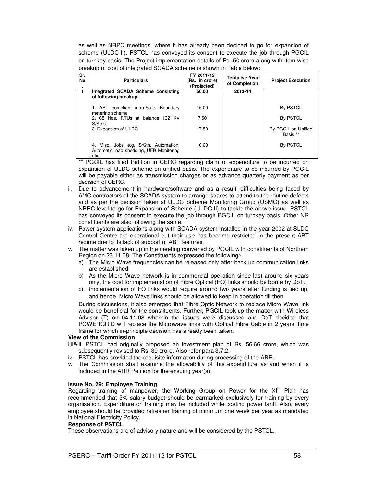as well as NRPC meetings, where it has already been decided to go for expansion of scheme (ULDC-II). PSTCL has conveyed its consent to execute the job through PGCIL on turnkey basis. The Project implementation details of Rs. 50 crore along with item-wise breakup of cost of integrated SCADA scheme is shown in Table below:

| Sr.<br>No<br>$\mathbf{r}$ | <b>Particulars</b>                                                                       | FY 2011-12<br>(Rs. in crore)<br>(Projected) | <b>Tentative Year</b><br>of Completion | <b>Project Execution</b>        |
|---------------------------|------------------------------------------------------------------------------------------|---------------------------------------------|----------------------------------------|---------------------------------|
|                           | Integrated SCADA Scheme consisting<br>of following breakup:                              | 50.00                                       | 2013-14                                |                                 |
|                           | 1. ABT compliant intra-State Boundary<br>metering scheme                                 | 15.00                                       |                                        | By PSTCL                        |
|                           | 2. 65 Nos. RTUs at balance 132 KV<br>S/Stns.                                             | 7.50                                        |                                        | By PSTCL                        |
|                           | 3. Expansion of ULDC                                                                     | 17.50                                       |                                        | By PGCIL on Unified<br>Basis ** |
|                           | 4. Misc. Jobs e.g. S/Stn. Automation,<br>Automatic load shedding, UFR Monitoring<br>etc. | 10.00                                       |                                        | By PSTCL                        |

\*\* PGCIL has filed Petition in CERC regarding claim of expenditure to be incurred on expansion of ULDC scheme on unified basis. The expenditure to be incurred by PGCIL will be payable either as transmission charges or as advance quarterly payment as per decision of CERC.

- ii. Due to advancement in hardware/software and as a result, difficulties being faced by AMC contractors of the SCADA system to arrange spares to attend to the routine defects and as per the decision taken at ULDC Scheme Monitoring Group (USMG) as well as NRPC level to go for Expansion of Scheme (ULDC-II) to tackle the above issue. PSTCL has conveyed its consent to execute the job through PGCIL on turnkey basis. Other NR constituents are also following the same.
- iv. Power system applications along with SCADA system installed in the year 2002 at SLDC Control Centre are operational but their use has become restricted in the present ABT regime due to its lack of support of ABT features.
- v. The matter was taken up in the meeting convened by PGCIL with constituents of Northern Region on 23.11.08. The Constituents expressed the following:
	- a) The Micro Wave frequencies can be released only after back up communication links are established.
	- b) As the Micro Wave network is in commercial operation since last around six years only, the cost for implementation of Fibre Optical (FO) links should be borne by DoT.
	- c) Implementation of FO links would require around two years after funding is tied up, and hence, Micro Wave links should be allowed to keep in operation till then.

During discussions, it also emerged that Fibre Optic Network to replace Micro Wave link would be beneficial for the constituents. Further, PGCIL took up the matter with Wireless Advisor (T) on 04.11.08 wherein the issues were discussed and DoT decided that POWERGRID will replace the Microwave links with Optical Fibre Cable in 2 years' time frame for which in-principle decision has already been taken.

## **View of the Commission**

- i,ii&iii. PSTCL had originally proposed an investment plan of Rs. 56.66 crore, which was subsequently revised to Rs. 30 crore. Also refer para 3.7.2.
- iv. PSTCL has provided the requisite information during processing of the ARR.
- v. The Commission shall examine the allowability of this expenditure as and when it is included in the ARR Petition for the ensuing year(s).

## **Issue No. 29: Employee Training**

Regarding training of manpower, the Working Group on Power for the XI<sup>th</sup> Plan has recommended that 5% salary budget should be earmarked exclusively for training by every organisation. Expenditure on training may be included while costing power tariff. Also, every employee should be provided refresher training of minimum one week per year as mandated in National Electricity Policy.

## **Response of PSTCL**

These observations are of advisory nature and will be considered by the PSTCL.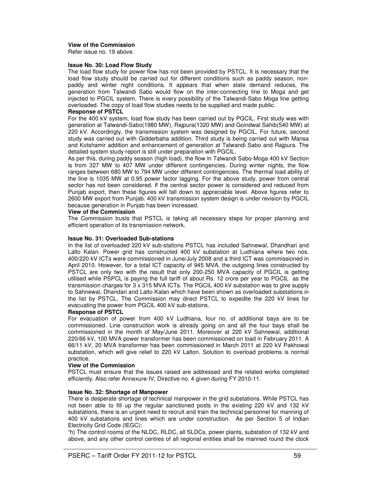#### **View of the Commission**

Refer issue no. 19 above.

#### **Issue No. 30: Load Flow Study**

The load flow study for power flow has not been provided by PSTCL. It is necessary that the load flow study should be carried out for different conditions such as paddy season, nonpaddy and winter night conditions. It appears that when state demand reduces, the generation from Talwandi Sabo would flow on the inter-connecting line to Moga and get injected to PGCIL system. There is every possibility of the Talwandi-Sabo Moga line getting overloaded. The copy of load flow studies needs to be supplied and made public. **Response of PSTCL** 

For the 400 kV system, load flow study has been carried out by PGCIL. First study was with generation at Talwandi-Sabo(1980 MW), Rajpura(1320 MW) and Goindwal Sahib(540 MW) at 220 kV. Accordingly, the transmission system was designed by PGCIL. For future, second study was carried out with Gidderbaha addition. Third study is being carried out with Mansa and Kotshamir addition and enhancement of generation at Talwandi Sabo and Rajpura. The detailed system study report is still under preparation with PGCIL.

As per this, during paddy season (high load), the flow in Talwandi Sabo-Moga 400 kV Section is from 327 MW to 407 MW under different contingencies. During winter nights, the flow ranges between 680 MW to 794 MW under different contingencies. The thermal load ability of the line is 1035 MW at 0.95 power factor lagging. For the above study, power from central sector has not been considered. If the central sector power is considered and reduced from Punjab export, then these figures will fall down to appreciable level. Above figures refer to 2600 MW export from Punjab. 400 kV transmission system design is under revision by PGCIL because generation in Punjab has been increased.

#### **View of the Commission**

The Commission trusts that PSTCL is taking all necessary steps for proper planning and efficient operation of its transmission network.

## **Issue No. 31: Overloaded Sub-stations**

In the list of overloaded 220 kV sub-stations PSTCL has included Sahnewal, Dhandhari and Lalto Kalan. Power grid has constructed 400 kV substation at Ludhiana where two nos. 400/220 kV ICTs were commissioned in June/July 2008 and a third ICT was commissioned in April 2010. However, for a total ICT capacity of 945 MVA, the outgoing lines constructed by PSTCL are only two with the result that only 200-250 MVA capacity of PGCIL is getting utilised while PSPCL is paying the full tariff of about Rs. 12 crore per year to PGCIL as the transmission charges for 3 x 315 MVA ICTs. The PGCIL 400 kV substation was to give supply to Sahnewal, Dhandari and Lalto Kalan which have been shown as overloaded substations in the list by PSTCL. The Commission may direct PSTCL to expedite the 220 kV lines for evacuating the power from PGCIL 400 kV sub-stations.

#### **Response of PSTCL**

For evacuation of power from 400 kV Ludhiana, four no. of additional bays are to be commissioned. Line construction work is already going on and all the four bays shall be commissioned in the month of May/June 2011. Moreover at 220 kV Sahnewal, additional 220/66 kV, 100 MVA power transformer has been commissioned on load in February 2011. A 66/11 kV, 20 MVA transformer has been commissioned in March 2011 at 220 kV Pakhowal substation, which will give relief to 220 kV Lalton. Solution to overload problems is normal practice.

#### **View of the Commission**

PSTCL must ensure that the issues raised are addressed and the related works completed efficiently. Also refer Annexure-IV, Directive no. 4 given during FY 2010-11.

#### **Issue No. 32: Shortage of Manpower**

There is desperate shortage of technical manpower in the grid substations. While PSTCL has not been able to fill up the regular sanctioned posts in the existing 220 kV and 132 kV substations, there is an urgent need to recruit and train the technical personnel for manning of 400 kV substations and lines which are under construction. As per Section 5 of Indian Electricity Grid Code (IEGC):

"h) The control rooms of the NLDC, RLDC, all SLDCs, power plants, substation of 132 kV and above, and any other control centres of all regional entities shall be manned round the clock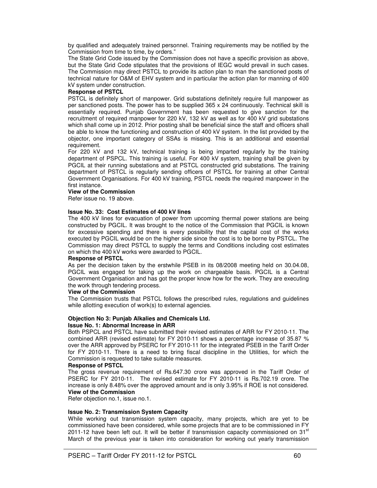by qualified and adequately trained personnel. Training requirements may be notified by the Commission from time to time, by orders."

The State Grid Code issued by the Commission does not have a specific provision as above, but the State Grid Code stipulates that the provisions of IEGC would prevail in such cases. The Commission may direct PSTCL to provide its action plan to man the sanctioned posts of technical nature for O&M of EHV system and in particular the action plan for manning of 400 kV system under construction.

## **Response of PSTCL**

PSTCL is definitely short of manpower. Grid substations definitely require full manpower as per sanctioned posts. The power has to be supplied 365 x 24 continuously. Technical skill is essentially required. Punjab Government has been requested to give sanction for the recruitment of required manpower for 220 kV, 132 kV as well as for 400 kV grid substations which shall come up in 2012. Prior posting shall be beneficial since the staff and officers shall be able to know the functioning and construction of 400 kV system. In the list provided by the objector, one important category of SSAs is missing. This is an additional and essential requirement.

For 220 kV and 132 kV, technical training is being imparted regularly by the training department of PSPCL. This training is useful. For 400 kV system, training shall be given by PGCIL at their running substations and at PSTCL constructed grid substations. The training department of PSTCL is regularly sending officers of PSTCL for training at other Central Government Organisations. For 400 kV training, PSTCL needs the required manpower in the first instance.

#### **View of the Commission**

Refer issue no. 19 above.

## **Issue No. 33: Cost Estimates of 400 kV lines**

The 400 kV lines for evacuation of power from upcoming thermal power stations are being constructed by PGCIL. It was brought to the notice of the Commission that PGCIL is known for excessive spending and there is every possibility that the capital cost of the works executed by PGCIL would be on the higher side since the cost is to be borne by PSTCL. The Commission may direct PSTCL to supply the terms and Conditions including cost estimates on which the 400 kV works were awarded to PGCIL.

#### **Response of PSTCL**

As per the decision taken by the erstwhile PSEB in its 08/2008 meeting held on 30.04.08, PGCIL was engaged for taking up the work on chargeable basis. PGCIL is a Central Government Organisation and has got the proper know how for the work. They are executing the work through tendering process.

## **View of the Commission**

The Commission trusts that PSTCL follows the prescribed rules, regulations and guidelines while allotting execution of work(s) to external agencies.

## **Objection No 3: Punjab Alkalies and Chemicals Ltd.**

## **Issue No. 1: Abnormal Increase in ARR**

Both PSPCL and PSTCL have submitted their revised estimates of ARR for FY 2010-11. The combined ARR (revised estimate) for FY 2010-11 shows a percentage increase of 35.87 % over the ARR approved by PSERC for FY 2010-11 for the integrated PSEB in the Tariff Order for FY 2010-11. There is a need to bring fiscal discipline in the Utilities, for which the Commission is requested to take suitable measures.

#### **Response of PSTCL**

The gross revenue requirement of Rs.647.30 crore was approved in the Tariff Order of PSERC for FY 2010-11. The revised estimate for FY 2010-11 is Rs.702.19 crore. The increase is only 8.48% over the approved amount and is only 3.95% if ROE is not considered. **View of the Commission** 

Refer objection no.1, issue no.1.

#### **Issue No. 2: Transmission System Capacity**

While working out transmission system capacity, many projects, which are yet to be commissioned have been considered, while some projects that are to be commissioned in FY 2011-12 have been left out. It will be better if transmission capacity commissioned on  $31^{st}$ March of the previous year is taken into consideration for working out yearly transmission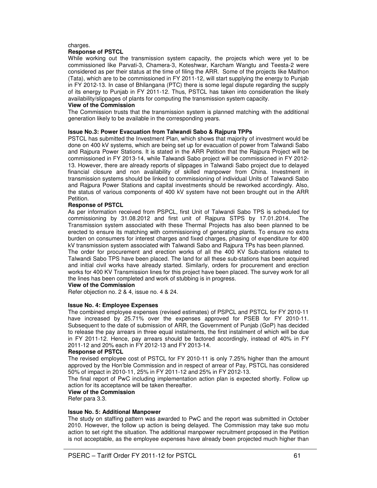# charges.

## **Response of PSTCL**

While working out the transmission system capacity, the projects which were yet to be commissioned like Parvati-3, Chamera-3, Koteshwar, Karcham Wangtu and Teesta-2 were considered as per their status at the time of filing the ARR. Some of the projects like Maithon (Tata), which are to be commissioned in FY 2011-12, will start supplying the energy to Punjab in FY 2012-13. In case of Bhilangana (PTC) there is some legal dispute regarding the supply of its energy to Punjab in FY 2011-12. Thus, PSTCL has taken into consideration the likely availability/slippages of plants for computing the transmission system capacity.

#### **View of the Commission**

The Commission trusts that the transmission system is planned matching with the additional generation likely to be available in the corresponding years.

#### **Issue No.3: Power Evacuation from Talwandi Sabo & Rajpura TPPs**

PSTCL has submitted the Investment Plan, which shows that majority of investment would be done on 400 kV systems, which are being set up for evacuation of power from Talwandi Sabo and Rajpura Power Stations. It is stated in the ARR Petition that the Rajpura Project will be commissioned in FY 2013-14, while Talwandi Sabo project will be commissioned in FY 2012- 13. However, there are already reports of slippages in Talwandi Sabo project due to delayed financial closure and non availability of skilled manpower from China. Investment in transmission systems should be linked to commissioning of individual Units of Talwandi Sabo and Rajpura Power Stations and capital investments should be reworked accordingly. Also, the status of various components of 400 kV system have not been brought out in the ARR Petition.

#### **Response of PSTCL**

As per information received from PSPCL, first Unit of Talwandi Sabo TPS is scheduled for commissioning by 31.08.2012 and first unit of Rajpura STPS by 17.01.2014. The Transmission system associated with these Thermal Projects has also been planned to be erected to ensure its matching with commissioning of generating plants. To ensure no extra burden on consumers for interest charges and fixed charges, phasing of expenditure for 400 kV transmission system associated with Talwandi Sabo and Rajpura TPs has been planned.

The order for procurement and erection works of all the 400 KV Sub-stations related to Talwandi Sabo TPS have been placed. The land for all these sub-stations has been acquired and initial civil works have already started. Similarly, orders for procurement and erection works for 400 KV Transmission lines for this project have been placed. The survey work for all the lines has been completed and work of stubbing is in progress.

#### **View of the Commission**

Refer objection no. 2 & 4, issue no. 4 & 24.

#### **Issue No. 4: Employee Expenses**

The combined employee expenses (revised estimates) of PSPCL and PSTCL for FY 2010-11 have increased by 25.71% over the expenses approved for PSEB for FY 2010-11. Subsequent to the date of submission of ARR, the Government of Punjab (GoP) has decided to release the pay arrears in three equal instalments, the first instalment of which will be due in FY 2011-12. Hence, pay arrears should be factored accordingly, instead of 40% in FY 2011-12 and 20% each in FY 2012-13 and FY 2013-14.

#### **Response of PSTCL**

The revised employee cost of PSTCL for FY 2010-11 is only 7.25% higher than the amount approved by the Hon'ble Commission and in respect of arrear of Pay, PSTCL has considered 50% of impact in 2010-11, 25% in FY 2011-12 and 25% in FY 2012-13.

The final report of PwC including implementation action plan is expected shortly. Follow up action for its acceptance will be taken thereafter.

#### **View of the Commission**

Refer para 3.3.

#### **Issue No. 5: Additional Manpower**

The study on staffing pattern was awarded to PwC and the report was submitted in October 2010. However, the follow up action is being delayed. The Commission may take suo motu action to set right the situation. The additional manpower recruitment proposed in the Petition is not acceptable, as the employee expenses have already been projected much higher than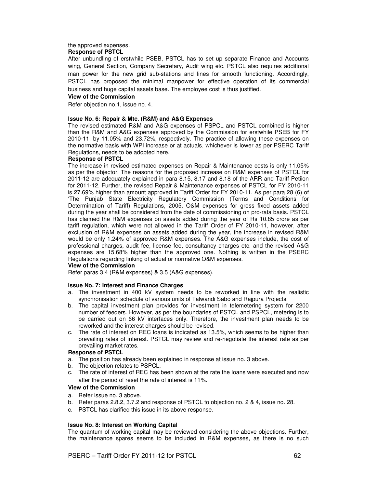#### the approved expenses. **Response of PSTCL**

After unbundling of erstwhile PSEB, PSTCL has to set up separate Finance and Accounts wing, General Section, Company Secretary, Audit wing etc. PSTCL also requires additional man power for the new grid sub-stations and lines for smooth functioning. Accordingly, PSTCL has proposed the minimal manpower for effective operation of its commercial business and huge capital assets base. The employee cost is thus justified.

#### **View of the Commission**

Refer objection no.1, issue no. 4.

#### **Issue No. 6: Repair & Mtc. (R&M) and A&G Expenses**

The revised estimated R&M and A&G expenses of PSPCL and PSTCL combined is higher than the R&M and A&G expenses approved by the Commission for erstwhile PSEB for FY 2010-11, by 11.05% and 23.72%, respectively. The practice of allowing these expenses on the normative basis with WPI increase or at actuals, whichever is lower as per PSERC Tariff Regulations, needs to be adopted here.

#### **Response of PSTCL**

The increase in revised estimated expenses on Repair & Maintenance costs is only 11.05% as per the objector. The reasons for the proposed increase on R&M expenses of PSTCL for 2011-12 are adequately explained in para 8.15, 8.17 and 8.18 of the ARR and Tariff Petiion for 2011-12. Further, the revised Repair & Maintenance expenses of PSTCL for FY 2010-11 is 27.69% higher than amount approved in Tariff Order for FY 2010-11. As per para 28 (6) of 'The Punjab State Electricity Regulatory Commission (Terms and Conditions for Determination of Tariff) Regulations, 2005, O&M expenses for gross fixed assets added during the year shall be considered from the date of commissioning on pro-rata basis. PSTCL has claimed the R&M expenses on assets added during the year of Rs 10.85 crore as per tariff regulation, which were not allowed in the Tariff Order of FY 2010-11, however, after exclusion of R&M expenses on assets added during the year, the increase in revised R&M would be only 1.24% of approved R&M expenses. The A&G expenses include, the cost of professional charges, audit fee, license fee, consultancy charges etc. and the revised A&G expenses are 15.68% higher than the approved one. Nothing is written in the PSERC Regulations regarding linking of actual or normative O&M expenses.

#### **View of the Commission**

Refer paras 3.4 (R&M expenses) & 3.5 (A&G expenses).

#### **Issue No. 7: Interest and Finance Charges**

- a. The investment in 400 kV system needs to be reworked in line with the realistic synchronisation schedule of various units of Talwandi Sabo and Rajpura Projects.
- b. The capital investment plan provides for investment in telemetering system for 2200 number of feeders. However, as per the boundaries of PSTCL and PSPCL, metering is to be carried out on 66 kV interfaces only. Therefore, the investment plan needs to be reworked and the interest charges should be revised.
- c. The rate of interest on REC loans is indicated as 13.5%, which seems to be higher than prevailing rates of interest. PSTCL may review and re-negotiate the interest rate as per prevailing market rates.

#### **Response of PSTCL**

- a. The position has already been explained in response at issue no. 3 above.
- b. The objection relates to PSPCL.
- c. The rate of interest of REC has been shown at the rate the loans were executed and now after the period of reset the rate of interest is 11%.

#### **View of the Commission**

- a. Refer issue no. 3 above.
- b. Refer paras 2.8.2, 3.7.2 and response of PSTCL to objection no. 2 & 4, issue no. 28.
- c. PSTCL has clarified this issue in its above response.

#### **Issue No. 8: Interest on Working Capital**

The quantum of working capital may be reviewed considering the above objections. Further, the maintenance spares seems to be included in R&M expenses, as there is no such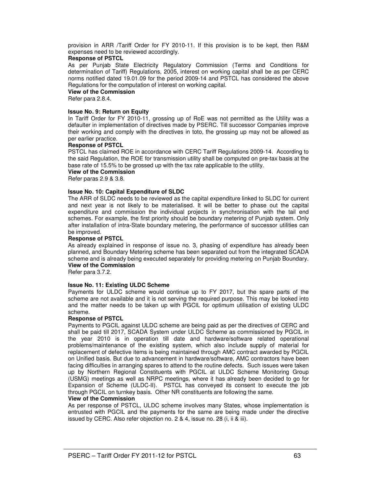provision in ARR /Tariff Order for FY 2010-11. If this provision is to be kept, then R&M expenses need to be reviewed accordingly.

#### **Response of PSTCL**

As per Punjab State Electricity Regulatory Commission (Terms and Conditions for determination of Tariff) Regulations, 2005, interest on working capital shall be as per CERC norms notified dated 19.01.09 for the period 2009-14 and PSTCL has considered the above Regulations for the computation of interest on working capital.

## **View of the Commission**

Refer para 2.8.4.

#### **Issue No. 9: Return on Equity**

In Tariff Order for FY 2010-11, grossing up of RoE was not permitted as the Utility was a defaulter in implementation of directives made by PSERC. Till successor Companies improve their working and comply with the directives in toto, the grossing up may not be allowed as per earlier practice.

#### **Response of PSTCL**

PSTCL has claimed ROE in accordance with CERC Tariff Regulations 2009-14. According to the said Regulation, the ROE for transmission utility shall be computed on pre-tax basis at the base rate of 15.5% to be grossed up with the tax rate applicable to the utility.

**View of the Commission** 

Refer paras 2.9 & 3.8.

#### **Issue No. 10: Capital Expenditure of SLDC**

The ARR of SLDC needs to be reviewed as the capital expenditure linked to SLDC for current and next year is not likely to be materialised. It will be better to phase out the capital expenditure and commission the individual projects in synchronisation with the tail end schemes. For example, the first priority should be boundary metering of Punjab system. Only after installation of intra-State boundary metering, the performance of successor utilities can be improved.

#### **Response of PSTCL**

As already explained in response of issue no. 3, phasing of expenditure has already been planned, and Boundary Metering scheme has been separated out from the integrated SCADA scheme and is already being executed separately for providing metering on Punjab Boundary. **View of the Commission** 

Refer para 3.7.2.

## **Issue No. 11: Existing ULDC Scheme**

Payments for ULDC scheme would continue up to FY 2017, but the spare parts of the scheme are not available and it is not serving the required purpose. This may be looked into and the matter needs to be taken up with PGCIL for optimum utilisation of existing ULDC scheme.

## **Response of PSTCL**

Payments to PGCIL against ULDC scheme are being paid as per the directives of CERC and shall be paid till 2017, SCADA System under ULDC Scheme as commissioned by PGCIL in the year 2010 is in operation till date and hardware/software related operational problems/maintenance of the existing system, which also include supply of material for replacement of defective items is being maintained through AMC contract awarded by PGCIL on Unified basis. But due to advancement in hardware/software, AMC contractors have been facing difficulties in arranging spares to attend to the routine defects. Such issues were taken up by Northern Regional Constituents with PGCIL at ULDC Scheme Monitoring Group (USMG) meetings as well as NRPC meetings, where it has already been decided to go for Expansion of Scheme (ULDC-II). PSTCL has conveyed its consent to execute the job through PGCIL on turnkey basis. Other NR constituents are following the same.

#### **View of the Commission**

As per response of PSTCL, ULDC scheme involves many States, whose implementation is entrusted with PGCIL and the payments for the same are being made under the directive issued by CERC. Also refer objection no. 2 & 4, issue no. 28 (i, ii & iii).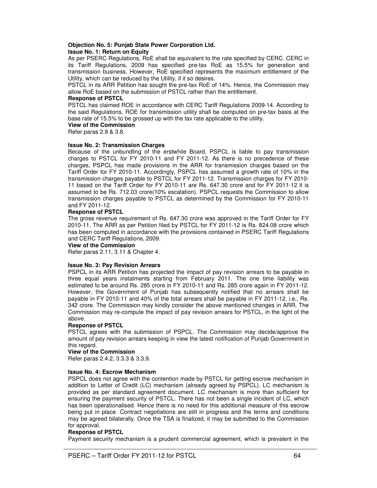### **Objection No. 5: Punjab State Power Corporation Ltd. Issue No. 1: Return on Equity**

As per PSERC Regulations, RoE shall be equivalent to the rate specified by CERC. CERC in its Tariff Regulations, 2009 has specified pre-tax RoE as 15.5% for generation and transmission business. However, RoE specified represents the maximum entitlement of the Utility, which can be reduced by the Utility, if it so desires.

PSTCL in its ARR Petition has sought the pre-tax RoE of 14%. Hence, the Commission may allow RoE based on the submission of PSTCL rather than the entitlement.

## **Response of PSTCL**

PSTCL has claimed ROE in accordance with CERC Tariff Regulations 2009-14. According to the said Regulations, ROE for transmission utility shall be computed on pre-tax basis at the base rate of 15.5% to be grossed up with the tax rate applicable to the utility.

## **View of the Commission**

Refer paras 2.9 & 3.8.

## **Issue No. 2: Transmission Charges**

Because of the unbundling of the erstwhile Board, PSPCL is liable to pay transmission charges to PSTCL for FY 2010-11 and FY 2011-12. As there is no precedence of these charges, PSPCL has made provisions in the ARR for transmission charges based on the Tariff Order for FY 2010-11. Accordingly, PSPCL has assumed a growth rate of 10% in the transmission charges payable to PSTCL for FY 2011-12. Transmission charges for FY 2010- 11 based on the Tariff Order for FY 2010-11 are Rs. 647.30 crore and for FY 2011-12 it is assumed to be Rs. 712.03 crore(10% escalation). PSPCL requests the Commission to allow transmission charges payable to PSTCL as determined by the Commission for FY 2010-11 and FY 2011-12.

#### **Response of PSTCL**

The gross revenue requirement of Rs. 647.30 crore was approved in the Tariff Order for FY 2010-11. The ARR as per Petition filed by PSTCL for FY 2011-12 is Rs. 824.08 crore which has been computed in accordance with the provisions contained in PSERC Tariff Regulations and CERC Tariff Regulations, 2009.

#### **View of the Commission**

Refer paras 2.11, 3.11 & Chapter 4.

## **Issue No. 3: Pay Revision Arrears**

PSPCL in its ARR Petition has projected the impact of pay revision arrears to be payable in three equal years instalments starting from February 2011. The one time liability was estimated to be around Rs. 285 crore in FY 2010-11 and Rs. 285 crore again in FY 2011-12. However, the Government of Punjab has subsequently notified that no arrears shall be payable in FY 2010-11 and 40% of the total arrears shall be payable in FY 2011-12, i.e., Rs. 342 crore. The Commission may kindly consider the above mentioned changes in ARR. The Commission may re-compute the impact of pay revision arrears for PSTCL, in the light of the above.

## **Response of PSTCL**

PSTCL agrees with the submission of PSPCL. The Commission may decide/approve the amount of pay revision arrears keeping in view the latest notification of Punjab Government in this regard.

## **View of the Commission**

Refer paras 2.4.2, 3.3.3 & 3.3.9.

## **Issue No. 4: Escrow Mechanism**

PSPCL does not agree with the contention made by PSTCL for getting escrow mechanism in addition to Letter of Credit (LC) mechanism (already agreed by PSPCL). LC mechanism is provided as per standard agreement document. LC mechanism is more than sufficient for ensuring the payment security of PSTCL. There has not been a single incident of LC, which has been operationalised. Hence there is no need for this additional measure of this escrow being put in place. Contract negotiations are still in progress and the terms and conditions may be agreed bilaterally. Once the TSA is finalized, it may be submitted to the Commission for approval.

## **Response of PSTCL**

Payment security mechanism is a prudent commercial agreement, which is prevalent in the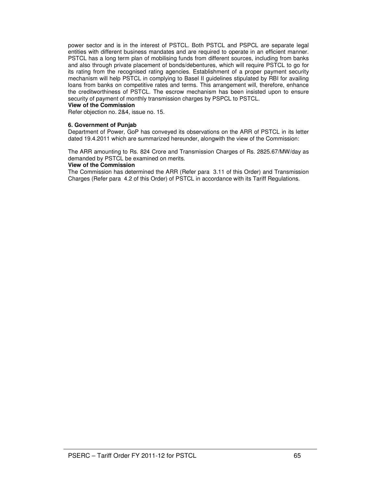power sector and is in the interest of PSTCL. Both PSTCL and PSPCL are separate legal entities with different business mandates and are required to operate in an efficient manner. PSTCL has a long term plan of mobilising funds from different sources, including from banks and also through private placement of bonds/debentures, which will require PSTCL to go for its rating from the recognised rating agencies. Establishment of a proper payment security mechanism will help PSTCL in complying to Basel II guidelines stipulated by RBI for availing loans from banks on competitive rates and terms. This arrangement will, therefore, enhance the creditworthiness of PSTCL. The escrow mechanism has been insisted upon to ensure security of payment of monthly transmission charges by PSPCL to PSTCL.

## **View of the Commission**

Refer objection no. 2&4, issue no. 15.

#### **6. Government of Punjab**

Department of Power, GoP has conveyed its observations on the ARR of PSTCL in its letter dated 19.4.2011 which are summarized hereunder, alongwith the view of the Commission:

The ARR amounting to Rs. 824 Crore and Transmission Charges of Rs. 2825.67/MW/day as demanded by PSTCL be examined on merits.

#### **View of the Commission**

The Commission has determined the ARR (Refer para 3.11 of this Order) and Transmission Charges (Refer para 4.2 of this Order) of PSTCL in accordance with its Tariff Regulations.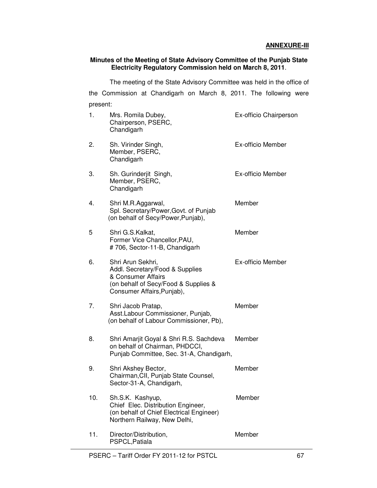## **ANNEXURE-III**

## **Minutes of the Meeting of State Advisory Committee of the Punjab State Electricity Regulatory Commission held on March 8, 2011**.

The meeting of the State Advisory Committee was held in the office of the Commission at Chandigarh on March 8, 2011. The following were present:

| 1.  | Mrs. Romila Dubey,<br>Chairperson, PSERC,<br>Chandigarh                                                                                          | Ex-officio Chairperson |
|-----|--------------------------------------------------------------------------------------------------------------------------------------------------|------------------------|
| 2.  | Sh. Virinder Singh,<br>Member, PSERC,<br>Chandigarh                                                                                              | Ex-officio Member      |
| 3.  | Sh. Gurinderjit Singh,<br>Member, PSERC,<br>Chandigarh                                                                                           | Ex-officio Member      |
| 4.  | Shri M.R.Aggarwal,<br>Spl. Secretary/Power, Govt. of Punjab<br>(on behalf of Secy/Power, Punjab),                                                | Member                 |
| 5   | Shri G.S.Kalkat,<br>Former Vice Chancellor, PAU,<br>#706, Sector-11-B, Chandigarh                                                                | Member                 |
| 6.  | Shri Arun Sekhri,<br>Addl. Secretary/Food & Supplies<br>& Consumer Affairs<br>(on behalf of Secy/Food & Supplies &<br>Consumer Affairs, Punjab), | Ex-officio Member      |
| 7.  | Shri Jacob Pratap,<br>Asst.Labour Commissioner, Punjab,<br>(on behalf of Labour Commissioner, Pb),                                               | Member                 |
| 8.  | Shri Amarjit Goyal & Shri R.S. Sachdeva<br>on behalf of Chairman, PHDCCI,<br>Punjab Committee, Sec. 31-A, Chandigarh,                            | Member                 |
| 9.  | Shri Akshey Bector,<br>Chairman, CII, Punjab State Counsel,<br>Sector-31-A, Chandigarh,                                                          | Member                 |
| 10. | Sh.S.K. Kashyup,<br>Chief Elec. Distribution Engineer,<br>(on behalf of Chief Electrical Engineer)<br>Northern Railway, New Delhi,               | Member                 |
| 11. | Director/Distribution,<br>PSPCL, Patiala                                                                                                         | Member                 |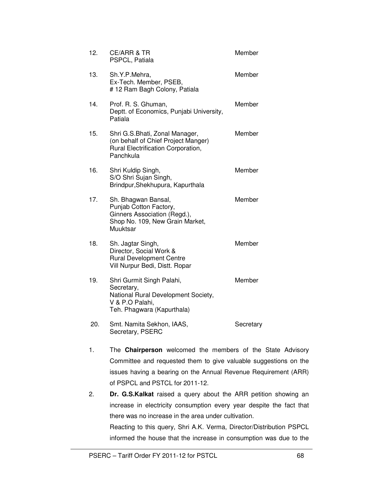| 12. | <b>CE/ARR &amp; TR</b><br>PSPCL, Patiala                                                                                        | Member    |
|-----|---------------------------------------------------------------------------------------------------------------------------------|-----------|
| 13. | Sh.Y.P.Mehra,<br>Ex-Tech. Member, PSEB,<br>#12 Ram Bagh Colony, Patiala                                                         | Member    |
| 14. | Prof. R. S. Ghuman,<br>Deptt. of Economics, Punjabi University,<br>Patiala                                                      | Member    |
| 15. | Shri G.S.Bhati, Zonal Manager,<br>(on behalf of Chief Project Manger)<br>Rural Electrification Corporation,<br>Panchkula        | Member    |
| 16. | Shri Kuldip Singh,<br>S/O Shri Sujan Singh,<br>Brindpur, Shekhupura, Kapurthala                                                 | Member    |
| 17. | Sh. Bhagwan Bansal,<br>Punjab Cotton Factory,<br>Ginners Association (Regd.),<br>Shop No. 109, New Grain Market,<br>Muuktsar    | Member    |
| 18. | Sh. Jagtar Singh,<br>Director, Social Work &<br><b>Rural Development Centre</b><br>Vill Nurpur Bedi, Distt. Ropar               | Member    |
| 19. | Shri Gurmit Singh Palahi,<br>Secretary,<br>National Rural Development Society,<br>V & P.O Palahi,<br>Teh. Phagwara (Kapurthala) | Member    |
| 20. | Smt. Namita Sekhon, IAAS,<br>Secretary, PSERC                                                                                   | Secretary |

- 1. The **Chairperson** welcomed the members of the State Advisory Committee and requested them to give valuable suggestions on the issues having a bearing on the Annual Revenue Requirement (ARR) of PSPCL and PSTCL for 2011-12.
- 2. **Dr. G.S.Kalkat** raised a query about the ARR petition showing an increase in electricity consumption every year despite the fact that there was no increase in the area under cultivation. Reacting to this query, Shri A.K. Verma, Director/Distribution PSPCL informed the house that the increase in consumption was due to the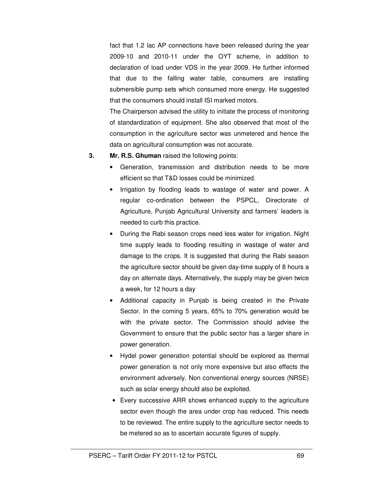fact that 1.2 lac AP connections have been released during the year 2009-10 and 2010-11 under the OYT scheme, in addition to declaration of load under VDS in the year 2009. He further informed that due to the falling water table, consumers are installing submersible pump sets which consumed more energy. He suggested that the consumers should install ISI marked motors.

The Chairperson advised the utility to initiate the process of monitoring of standardization of equipment. She also observed that most of the consumption in the agriculture sector was unmetered and hence the data on agricultural consumption was not accurate.

- **3. Mr. R.S. Ghuman** raised the following points:
	- Generation, transmission and distribution needs to be more efficient so that T&D losses could be minimized.
	- Irrigation by flooding leads to wastage of water and power. A regular co-ordination between the PSPCL, Directorate of Agriculture, Punjab Agricultural University and farmers' leaders is needed to curb this practice.
	- During the Rabi season crops need less water for irrigation. Night time supply leads to flooding resulting in wastage of water and damage to the crops. It is suggested that during the Rabi season the agriculture sector should be given day-time supply of 8 hours a day on alternate days. Alternatively, the supply may be given twice a week, for 12 hours a day
	- Additional capacity in Punjab is being created in the Private Sector. In the coming 5 years, 65% to 70% generation would be with the private sector. The Commission should advise the Government to ensure that the public sector has a larger share in power generation.
	- Hydel power generation potential should be explored as thermal power generation is not only more expensive but also effects the environment adversely. Non conventional energy sources (NRSE) such as solar energy should also be exploited.
	- Every successive ARR shows enhanced supply to the agriculture sector even though the area under crop has reduced. This needs to be reviewed. The entire supply to the agriculture sector needs to be metered so as to ascertain accurate figures of supply.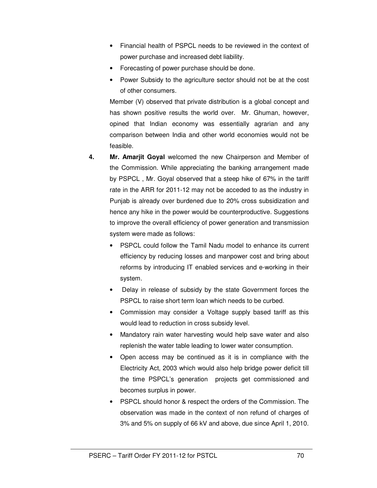- Financial health of PSPCL needs to be reviewed in the context of power purchase and increased debt liability.
- Forecasting of power purchase should be done.
- Power Subsidy to the agriculture sector should not be at the cost of other consumers.

Member (V) observed that private distribution is a global concept and has shown positive results the world over. Mr. Ghuman, however, opined that Indian economy was essentially agrarian and any comparison between India and other world economies would not be feasible.

- **4. Mr. Amarjit Goyal** welcomed the new Chairperson and Member of the Commission. While appreciating the banking arrangement made by PSPCL , Mr. Goyal observed that a steep hike of 67% in the tariff rate in the ARR for 2011-12 may not be acceded to as the industry in Punjab is already over burdened due to 20% cross subsidization and hence any hike in the power would be counterproductive. Suggestions to improve the overall efficiency of power generation and transmission system were made as follows:
	- PSPCL could follow the Tamil Nadu model to enhance its current efficiency by reducing losses and manpower cost and bring about reforms by introducing IT enabled services and e-working in their system.
	- Delay in release of subsidy by the state Government forces the PSPCL to raise short term loan which needs to be curbed.
	- Commission may consider a Voltage supply based tariff as this would lead to reduction in cross subsidy level.
	- Mandatory rain water harvesting would help save water and also replenish the water table leading to lower water consumption.
	- Open access may be continued as it is in compliance with the Electricity Act, 2003 which would also help bridge power deficit till the time PSPCL's generation projects get commissioned and becomes surplus in power.
	- PSPCL should honor & respect the orders of the Commission. The observation was made in the context of non refund of charges of 3% and 5% on supply of 66 kV and above, due since April 1, 2010.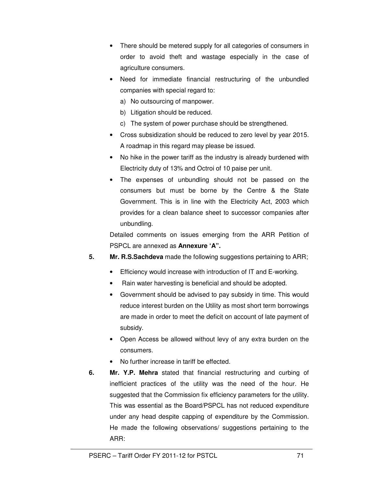- There should be metered supply for all categories of consumers in order to avoid theft and wastage especially in the case of agriculture consumers.
- Need for immediate financial restructuring of the unbundled companies with special regard to:
	- a) No outsourcing of manpower.
	- b) Litigation should be reduced.
	- c) The system of power purchase should be strengthened.
- Cross subsidization should be reduced to zero level by year 2015. A roadmap in this regard may please be issued.
- No hike in the power tariff as the industry is already burdened with Electricity duty of 13% and Octroi of 10 paise per unit.
- The expenses of unbundling should not be passed on the consumers but must be borne by the Centre & the State Government. This is in line with the Electricity Act, 2003 which provides for a clean balance sheet to successor companies after unbundling.

Detailed comments on issues emerging from the ARR Petition of PSPCL are annexed as **Annexure 'A".**

- **5. Mr. R.S.Sachdeva** made the following suggestions pertaining to ARR;
	- Efficiency would increase with introduction of IT and E-working.
	- Rain water harvesting is beneficial and should be adopted.
	- Government should be advised to pay subsidy in time. This would reduce interest burden on the Utility as most short term borrowings are made in order to meet the deficit on account of late payment of subsidy.
	- Open Access be allowed without levy of any extra burden on the consumers.
	- No further increase in tariff be effected.
- **6. Mr. Y.P. Mehra** stated that financial restructuring and curbing of inefficient practices of the utility was the need of the hour. He suggested that the Commission fix efficiency parameters for the utility. This was essential as the Board/PSPCL has not reduced expenditure under any head despite capping of expenditure by the Commission. He made the following observations/ suggestions pertaining to the ARR: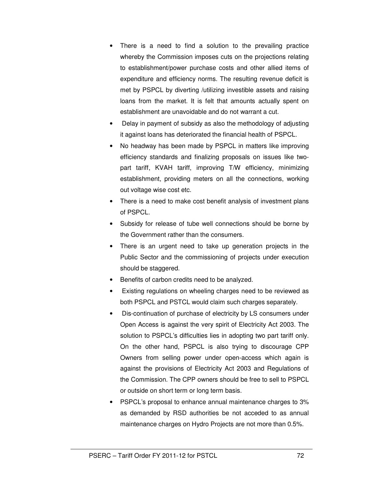- There is a need to find a solution to the prevailing practice whereby the Commission imposes cuts on the projections relating to establishment/power purchase costs and other allied items of expenditure and efficiency norms. The resulting revenue deficit is met by PSPCL by diverting /utilizing investible assets and raising loans from the market. It is felt that amounts actually spent on establishment are unavoidable and do not warrant a cut.
- Delay in payment of subsidy as also the methodology of adjusting it against loans has deteriorated the financial health of PSPCL.
- No headway has been made by PSPCL in matters like improving efficiency standards and finalizing proposals on issues like twopart tariff, KVAH tariff, improving T/W efficiency, minimizing establishment, providing meters on all the connections, working out voltage wise cost etc.
- There is a need to make cost benefit analysis of investment plans of PSPCL.
- Subsidy for release of tube well connections should be borne by the Government rather than the consumers.
- There is an urgent need to take up generation projects in the Public Sector and the commissioning of projects under execution should be staggered.
- Benefits of carbon credits need to be analyzed.
- Existing regulations on wheeling charges need to be reviewed as both PSPCL and PSTCL would claim such charges separately.
- Dis-continuation of purchase of electricity by LS consumers under Open Access is against the very spirit of Electricity Act 2003. The solution to PSPCL's difficulties lies in adopting two part tariff only. On the other hand, PSPCL is also trying to discourage CPP Owners from selling power under open-access which again is against the provisions of Electricity Act 2003 and Regulations of the Commission. The CPP owners should be free to sell to PSPCL or outside on short term or long term basis.
- PSPCL's proposal to enhance annual maintenance charges to 3% as demanded by RSD authorities be not acceded to as annual maintenance charges on Hydro Projects are not more than 0.5%.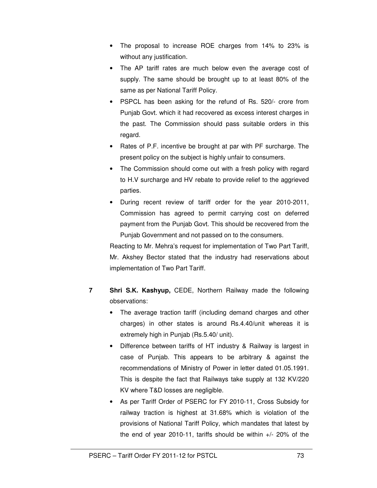- The proposal to increase ROE charges from 14% to 23% is without any justification.
- The AP tariff rates are much below even the average cost of supply. The same should be brought up to at least 80% of the same as per National Tariff Policy.
- PSPCL has been asking for the refund of Rs. 520/- crore from Punjab Govt. which it had recovered as excess interest charges in the past. The Commission should pass suitable orders in this regard.
- Rates of P.F. incentive be brought at par with PF surcharge. The present policy on the subject is highly unfair to consumers.
- The Commission should come out with a fresh policy with regard to H.V surcharge and HV rebate to provide relief to the aggrieved parties.
- During recent review of tariff order for the year 2010-2011, Commission has agreed to permit carrying cost on deferred payment from the Punjab Govt. This should be recovered from the Punjab Government and not passed on to the consumers.

Reacting to Mr. Mehra's request for implementation of Two Part Tariff, Mr. Akshey Bector stated that the industry had reservations about implementation of Two Part Tariff.

- **7 Shri S.K. Kashyup,** CEDE, Northern Railway made the following observations:
	- The average traction tariff (including demand charges and other charges) in other states is around Rs.4.40/unit whereas it is extremely high in Punjab (Rs.5.40/ unit).
	- Difference between tariffs of HT industry & Railway is largest in case of Punjab. This appears to be arbitrary & against the recommendations of Ministry of Power in letter dated 01.05.1991. This is despite the fact that Railways take supply at 132 KV/220 KV where T&D losses are negligible.
	- As per Tariff Order of PSERC for FY 2010-11, Cross Subsidy for railway traction is highest at 31.68% which is violation of the provisions of National Tariff Policy, which mandates that latest by the end of year 2010-11, tariffs should be within +/- 20% of the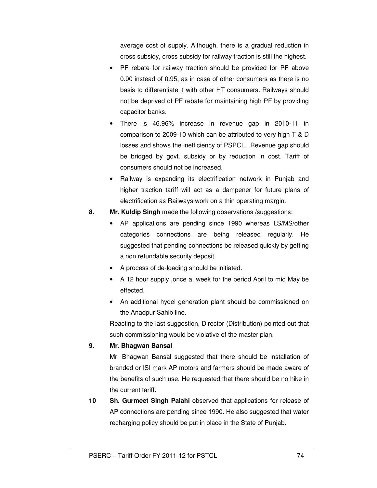average cost of supply. Although, there is a gradual reduction in cross subsidy, cross subsidy for railway traction is still the highest.

- PF rebate for railway traction should be provided for PF above 0.90 instead of 0.95, as in case of other consumers as there is no basis to differentiate it with other HT consumers. Railways should not be deprived of PF rebate for maintaining high PF by providing capacitor banks.
- There is 46.96% increase in revenue gap in 2010-11 in comparison to 2009-10 which can be attributed to very high T & D losses and shows the inefficiency of PSPCL. .Revenue gap should be bridged by govt. subsidy or by reduction in cost. Tariff of consumers should not be increased.
- Railway is expanding its electrification network in Punjab and higher traction tariff will act as a dampener for future plans of electrification as Railways work on a thin operating margin.
- **8. Mr. Kuldip Singh** made the following observations /suggestions:
	- AP applications are pending since 1990 whereas LS/MS/other categories connections are being released regularly. He suggested that pending connections be released quickly by getting a non refundable security deposit.
	- A process of de-loading should be initiated.
	- A 12 hour supply ,once a, week for the period April to mid May be effected.
	- An additional hydel generation plant should be commissioned on the Anadpur Sahib line.

Reacting to the last suggestion, Director (Distribution) pointed out that such commissioning would be violative of the master plan.

# **9. Mr. Bhagwan Bansal**

Mr. Bhagwan Bansal suggested that there should be installation of branded or ISI mark AP motors and farmers should be made aware of the benefits of such use. He requested that there should be no hike in the current tariff.

**10 Sh. Gurmeet Singh Palahi** observed that applications for release of AP connections are pending since 1990. He also suggested that water recharging policy should be put in place in the State of Punjab.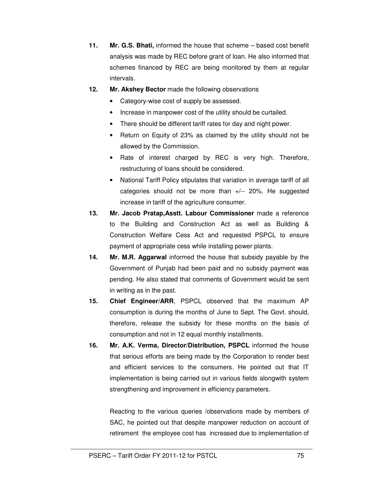- **11. Mr. G.S. Bhati,** informed the house that scheme based cost benefit analysis was made by REC before grant of loan. He also informed that schemes financed by REC are being monitored by them at regular intervals.
- **12. Mr. Akshey Bector** made the following observations
	- Category-wise cost of supply be assessed.
	- Increase in manpower cost of the utility should be curtailed.
	- There should be different tariff rates for day and night power.
	- Return on Equity of 23% as claimed by the utility should not be allowed by the Commission.
	- Rate of interest charged by REC is very high. Therefore, restructuring of loans should be considered.
	- National Tariff Policy stipulates that variation in average tariff of all categories should not be more than  $+/-$  20%. He suggested increase in tariff of the agriculture consumer.
- **13. Mr. Jacob Pratap,Asstt. Labour Commissioner** made a reference to the Building and Construction Act as well as Building & Construction Welfare Cess Act and requested PSPCL to ensure payment of appropriate cess while installing power plants.
- **14. Mr. M.R. Aggarwal** informed the house that subsidy payable by the Government of Punjab had been paid and no subsidy payment was pending. He also stated that comments of Government would be sent in writing as in the past.
- **15. Chief Engineer/ARR**, PSPCL observed that the maximum AP consumption is during the months of June to Sept. The Govt. should, therefore, release the subsidy for these months on the basis of consumption and not in 12 equal monthly installments.
- **16. Mr. A.K. Verma, Director/Distribution, PSPCL** informed the house that serious efforts are being made by the Corporation to render best and efficient services to the consumers. He pointed out that IT implementation is being carried out in various fields alongwith system strengthening and improvement in efficiency parameters.

Reacting to the various queries /observations made by members of SAC, he pointed out that despite manpower reduction on account of retirement the employee cost has increased due to implementation of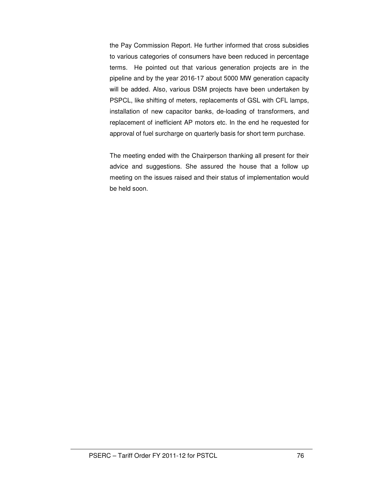the Pay Commission Report. He further informed that cross subsidies to various categories of consumers have been reduced in percentage terms. He pointed out that various generation projects are in the pipeline and by the year 2016-17 about 5000 MW generation capacity will be added. Also, various DSM projects have been undertaken by PSPCL, like shifting of meters, replacements of GSL with CFL lamps, installation of new capacitor banks, de-loading of transformers, and replacement of inefficient AP motors etc. In the end he requested for approval of fuel surcharge on quarterly basis for short term purchase.

The meeting ended with the Chairperson thanking all present for their advice and suggestions. She assured the house that a follow up meeting on the issues raised and their status of implementation would be held soon.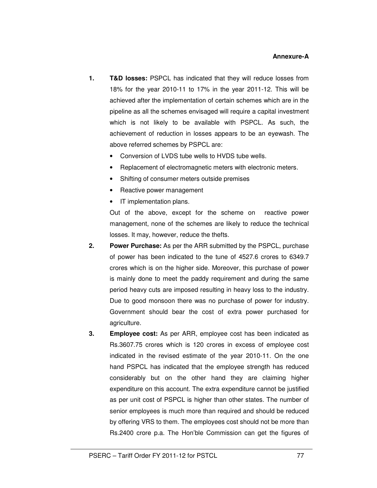- **1. T&D losses:** PSPCL has indicated that they will reduce losses from 18% for the year 2010-11 to 17% in the year 2011-12. This will be achieved after the implementation of certain schemes which are in the pipeline as all the schemes envisaged will require a capital investment which is not likely to be available with PSPCL. As such, the achievement of reduction in losses appears to be an eyewash. The above referred schemes by PSPCL are:
	- Conversion of LVDS tube wells to HVDS tube wells.
	- Replacement of electromagnetic meters with electronic meters.
	- Shifting of consumer meters outside premises
	- Reactive power management
	- IT implementation plans.

Out of the above, except for the scheme on reactive power management, none of the schemes are likely to reduce the technical losses. It may, however, reduce the thefts.

- **2. Power Purchase:** As per the ARR submitted by the PSPCL, purchase of power has been indicated to the tune of 4527.6 crores to 6349.7 crores which is on the higher side. Moreover, this purchase of power is mainly done to meet the paddy requirement and during the same period heavy cuts are imposed resulting in heavy loss to the industry. Due to good monsoon there was no purchase of power for industry. Government should bear the cost of extra power purchased for agriculture.
- **3. Employee cost:** As per ARR, employee cost has been indicated as Rs.3607.75 crores which is 120 crores in excess of employee cost indicated in the revised estimate of the year 2010-11. On the one hand PSPCL has indicated that the employee strength has reduced considerably but on the other hand they are claiming higher expenditure on this account. The extra expenditure cannot be justified as per unit cost of PSPCL is higher than other states. The number of senior employees is much more than required and should be reduced by offering VRS to them. The employees cost should not be more than Rs.2400 crore p.a. The Hon'ble Commission can get the figures of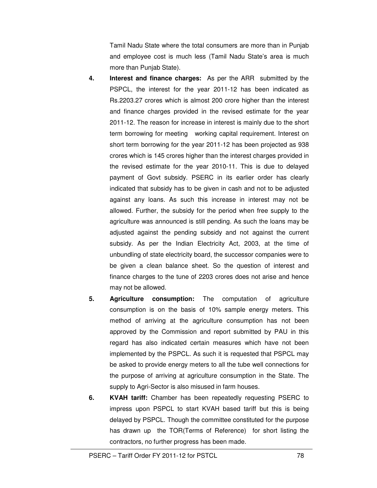Tamil Nadu State where the total consumers are more than in Punjab and employee cost is much less (Tamil Nadu State's area is much more than Punjab State).

- **4. Interest and finance charges:** As per the ARR submitted by the PSPCL, the interest for the year 2011-12 has been indicated as Rs.2203.27 crores which is almost 200 crore higher than the interest and finance charges provided in the revised estimate for the year 2011-12. The reason for increase in interest is mainly due to the short term borrowing for meeting working capital requirement. Interest on short term borrowing for the year 2011-12 has been projected as 938 crores which is 145 crores higher than the interest charges provided in the revised estimate for the year 2010-11. This is due to delayed payment of Govt subsidy. PSERC in its earlier order has clearly indicated that subsidy has to be given in cash and not to be adjusted against any loans. As such this increase in interest may not be allowed. Further, the subsidy for the period when free supply to the agriculture was announced is still pending. As such the loans may be adjusted against the pending subsidy and not against the current subsidy. As per the Indian Electricity Act, 2003, at the time of unbundling of state electricity board, the successor companies were to be given a clean balance sheet. So the question of interest and finance charges to the tune of 2203 crores does not arise and hence may not be allowed.
- **5. Agriculture consumption:** The computation of agriculture consumption is on the basis of 10% sample energy meters. This method of arriving at the agriculture consumption has not been approved by the Commission and report submitted by PAU in this regard has also indicated certain measures which have not been implemented by the PSPCL. As such it is requested that PSPCL may be asked to provide energy meters to all the tube well connections for the purpose of arriving at agriculture consumption in the State. The supply to Agri-Sector is also misused in farm houses.
- **6. KVAH tariff:** Chamber has been repeatedly requesting PSERC to impress upon PSPCL to start KVAH based tariff but this is being delayed by PSPCL. Though the committee constituted for the purpose has drawn up the TOR(Terms of Reference) for short listing the contractors, no further progress has been made.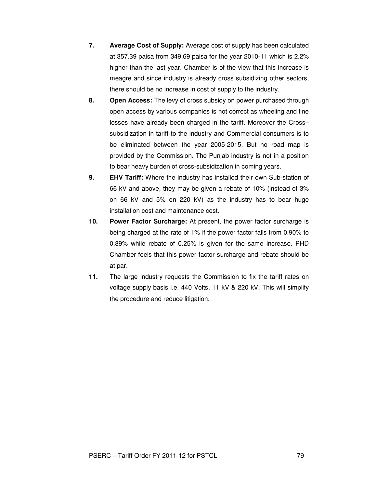- **7. Average Cost of Supply:** Average cost of supply has been calculated at 357.39 paisa from 349.69 paisa for the year 2010-11 which is 2.2% higher than the last year. Chamber is of the view that this increase is meagre and since industry is already cross subsidizing other sectors, there should be no increase in cost of supply to the industry.
- **8. Open Access:** The levy of cross subsidy on power purchased through open access by various companies is not correct as wheeling and line losses have already been charged in the tariff. Moreover the Cross– subsidization in tariff to the industry and Commercial consumers is to be eliminated between the year 2005-2015. But no road map is provided by the Commission. The Punjab industry is not in a position to bear heavy burden of cross-subsidization in coming years.
- **9. EHV Tariff:** Where the industry has installed their own Sub-station of 66 kV and above, they may be given a rebate of 10% (instead of 3% on 66 kV and 5% on 220 kV) as the industry has to bear huge installation cost and maintenance cost.
- **10. Power Factor Surcharge:** At present, the power factor surcharge is being charged at the rate of 1% if the power factor falls from 0.90% to 0.89% while rebate of 0.25% is given for the same increase. PHD Chamber feels that this power factor surcharge and rebate should be at par.
- **11.** The large industry requests the Commission to fix the tariff rates on voltage supply basis i.e. 440 Volts, 11 kV & 220 kV. This will simplify the procedure and reduce litigation.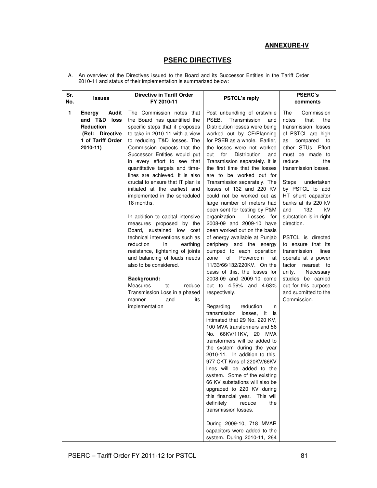# **ANNEXURE-IV**

# **PSERC DIRECTIVES**

A. An overview of the Directives issued to the Board and its Successor Entities in the Tariff Order 2010-11 and status of their implementation is summarized below:

| Sr.<br>No. | <b>Issues</b>                                                                                             | Directive in Tariff Order<br>FY 2010-11                                                                                                                                                                                                                                                                                                                                                                                                                                                                                                                                                                                                                                                                                                                                                                                                       | <b>PSTCL's reply</b>                                                                                                                                                                                                                                                                                                                                                                                                                                                                                                                                                                                                                                                                                                                                                                                                                                                                                                                                                                                                                                                                                                                                                                                                                                                                                                                                                                                                                                       | <b>PSERC's</b><br>comments                                                                                                                                                                                                                                                                                                                                                                                                                                                                                                                                                              |
|------------|-----------------------------------------------------------------------------------------------------------|-----------------------------------------------------------------------------------------------------------------------------------------------------------------------------------------------------------------------------------------------------------------------------------------------------------------------------------------------------------------------------------------------------------------------------------------------------------------------------------------------------------------------------------------------------------------------------------------------------------------------------------------------------------------------------------------------------------------------------------------------------------------------------------------------------------------------------------------------|------------------------------------------------------------------------------------------------------------------------------------------------------------------------------------------------------------------------------------------------------------------------------------------------------------------------------------------------------------------------------------------------------------------------------------------------------------------------------------------------------------------------------------------------------------------------------------------------------------------------------------------------------------------------------------------------------------------------------------------------------------------------------------------------------------------------------------------------------------------------------------------------------------------------------------------------------------------------------------------------------------------------------------------------------------------------------------------------------------------------------------------------------------------------------------------------------------------------------------------------------------------------------------------------------------------------------------------------------------------------------------------------------------------------------------------------------------|-----------------------------------------------------------------------------------------------------------------------------------------------------------------------------------------------------------------------------------------------------------------------------------------------------------------------------------------------------------------------------------------------------------------------------------------------------------------------------------------------------------------------------------------------------------------------------------------|
| 1          | Energy<br>Audit<br>and T&D loss<br><b>Reduction</b><br>(Ref: Directive<br>1 of Tariff Order<br>$2010-11)$ | The Commission notes that<br>the Board has quantified the<br>specific steps that it proposes<br>to take in 2010-11 with a view<br>to reducing T&D losses. The<br>Commission expects that the<br>Successor Entities would put<br>in every effort to see that<br>quantitative targets and time-<br>lines are achieved. It is also<br>crucial to ensure that IT plan is<br>initiated at the earliest and<br>implemented in the scheduled<br>18 months.<br>In addition to capital intensive<br>measures proposed by the<br>Board, sustained low cost<br>technical interventions such as<br>in<br>reduction<br>earthing<br>resistance, tightening of joints<br>and balancing of loads needs<br>also to be considered.<br>Background:<br><b>Measures</b><br>to<br>reduce<br>Transmission Loss in a phased<br>and<br>its<br>manner<br>implementation | Post unbundling of erstwhile<br>PSEB.<br>Transmission<br>and<br>Distribution losses were being<br>worked out by CE/Planning<br>for PSEB as a whole. Earlier,<br>the losses were not worked<br>out<br>for<br>Distribution<br>and<br>Transmission separately. It is<br>the first time that the losses<br>are to be worked out for<br>Transmission separately. The<br>losses of 132 and 220 KV<br>could not be worked out as<br>large number of meters had<br>been sent for testing by P&M<br>organization.<br>Losses for<br>2008-09 and 2009-10 have<br>been worked out on the basis<br>of energy available at Punjab<br>periphery and the energy<br>pumped to each operation<br>of<br>zone<br>Powercom<br>at<br>11/33/66/132/220KV. On the<br>basis of this, the losses for<br>2008-09 and 2009-10 come<br>out to 4.59% and 4.63%<br>respectively.<br>Regarding<br>reduction<br>in.<br>transmission<br>losses, it is<br>intimated that 29 No. 220 KV,<br>100 MVA transformers and 56<br>No. 66KV/11KV, 20 MVA<br>transformers will be added to<br>the system during the year<br>2010-11. In addition to this,<br>977 CKT Kms of 220KV/66KV<br>lines will be added to the<br>system. Some of the existing<br>66 KV substations will also be<br>upgraded to 220 KV during<br>this financial year. This will<br>definitely<br>reduce<br>the<br>transmission losses.<br>During 2009-10, 718 MVAR<br>capacitors were added to the<br>system. During 2010-11, 264 | The<br>Commission<br>notes<br>that<br>the<br>transmission losses<br>of PSTCL are high<br>compared<br>to<br>as<br>other STUs. Effort<br>must be made to<br>reduce<br>the<br>transmission losses.<br><b>Steps</b><br>undertaken<br>by PSTCL to add<br>HT shunt capacitor<br>banks at its 220 kV<br>132<br>kV<br>and<br>substation is in right<br>direction.<br>PSTCL is directed<br>to ensure that its<br>transmission<br>lines<br>operate at a power<br>factor<br>nearest to<br>unity.<br>Necessary<br>studies be carried<br>out for this purpose<br>and submitted to the<br>Commission. |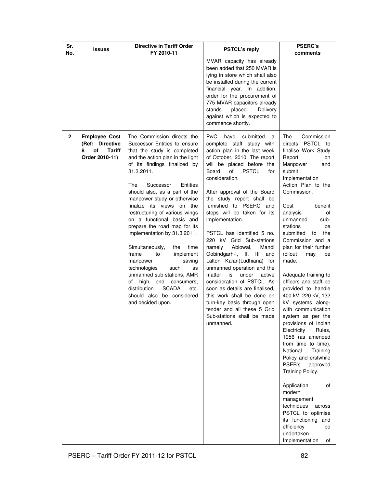| Sr.<br>No.   | <b>Issues</b>                                                                         | Directive in Tariff Order<br>FY 2010-11                                                                                                                                                                                                                                                                                                                                                                                                                                                                                                                                                                                                                                                                              | <b>PSTCL's reply</b>                                                                                                                                                                                                                                                                                                                                                                                                                                                                                                                                                                                                                                                                                                                                                         | <b>PSERC's</b><br>comments                                                                                                                                                                                                                                                                                                                                                                                                                                                                                                                                                                                                                                                                                                                                                                                                                                                           |
|--------------|---------------------------------------------------------------------------------------|----------------------------------------------------------------------------------------------------------------------------------------------------------------------------------------------------------------------------------------------------------------------------------------------------------------------------------------------------------------------------------------------------------------------------------------------------------------------------------------------------------------------------------------------------------------------------------------------------------------------------------------------------------------------------------------------------------------------|------------------------------------------------------------------------------------------------------------------------------------------------------------------------------------------------------------------------------------------------------------------------------------------------------------------------------------------------------------------------------------------------------------------------------------------------------------------------------------------------------------------------------------------------------------------------------------------------------------------------------------------------------------------------------------------------------------------------------------------------------------------------------|--------------------------------------------------------------------------------------------------------------------------------------------------------------------------------------------------------------------------------------------------------------------------------------------------------------------------------------------------------------------------------------------------------------------------------------------------------------------------------------------------------------------------------------------------------------------------------------------------------------------------------------------------------------------------------------------------------------------------------------------------------------------------------------------------------------------------------------------------------------------------------------|
|              |                                                                                       |                                                                                                                                                                                                                                                                                                                                                                                                                                                                                                                                                                                                                                                                                                                      | MVAR capacity has already<br>been added that 250 MVAR is<br>lying in store which shall also<br>be installed during the current<br>financial year. In addition,<br>order for the procurement of<br>775 MVAR capacitors already<br>placed.<br>stands<br><b>Delivery</b><br>against which is expected to<br>commence shortly.                                                                                                                                                                                                                                                                                                                                                                                                                                                   |                                                                                                                                                                                                                                                                                                                                                                                                                                                                                                                                                                                                                                                                                                                                                                                                                                                                                      |
| $\mathbf{2}$ | <b>Employee Cost</b><br>(Ref: Directive<br>of<br>8<br><b>Tariff</b><br>Order 2010-11) | The Commission directs the<br>Successor Entities to ensure<br>that the study is completed<br>and the action plan in the light<br>of its findings finalized by<br>31.3.2011.<br>Entities<br>The<br>Successor<br>should also, as a part of the<br>manpower study or otherwise<br>finalize its views on the<br>restructuring of various wings<br>on a functional basis and<br>prepare the road map for its<br>implementation by 31.3.2011.<br>Simultaneously,<br>the<br>time<br>frame<br>to<br>implement<br>saving<br>manpower<br>technologies<br>such<br>as<br>unmanned sub-stations, AMR<br>high<br>end<br>consumers.<br>of<br><b>SCADA</b><br>distribution<br>etc.<br>should also be considered<br>and decided upon. | submitted<br>PwC<br>have<br>a<br>complete staff study with<br>action plan in the last week<br>of October, 2010. The report<br>will be placed before the<br>Board<br>of<br>PSTCL<br>for<br>consideration.<br>After approval of the Board<br>the study report shall be<br>furnished to PSERC and<br>steps will be taken for its<br>implementation.<br>PSTCL has identified 5 no.<br>220 kV Grid Sub-stations<br>namely<br>Ablowal,<br>Mandi<br>Gobindgarh-I, II, III and<br>Lalton Kalan(Ludhiana) for<br>unmanned operation and the<br>under<br>matter<br>is<br>active<br>consideration of PSTCL. As<br>soon as details are finalised.<br>this work shall be done on<br>turn-key basis through open<br>tender and all these 5 Grid<br>Sub-stations shall be made<br>unmanned. | The<br>Commission<br>directs PSTCL to<br>finalise Work Study<br>Report<br>on<br>Manpower<br>and<br>submit<br>Implementation<br>Action Plan to the<br>Commission.<br>Cost<br>benefit<br>analysis<br>of<br>sub-<br>unmanned<br>stations<br>be<br>submitted<br>the<br>to<br>Commission and a<br>plan for their further<br>rollout<br>may<br>be<br>made.<br>Adequate training to<br>officers and staff be<br>provided to handle<br>400 kV, 220 kV, 132<br>kV systems along-<br>with communication<br>system as per the<br>provisions of Indian<br>Electricity<br>Rules,<br>1956 (as amended<br>from time to time),<br>National<br>Training<br>Policy and erstwhile<br>PSEB's<br>approved<br>Training Policy.<br>Application<br>of<br>modern<br>management<br>techniques<br>across<br>PSTCL to optimise<br>its functioning and<br>efficiency<br>be<br>undertaken.<br>Implementation<br>of |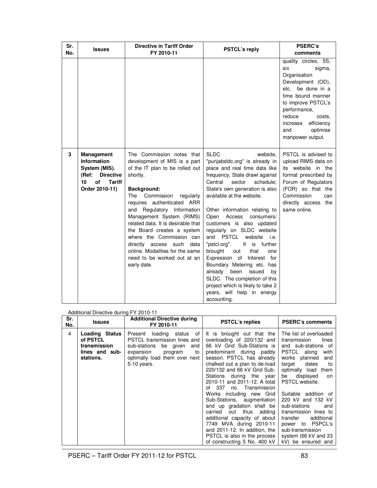| Sr.<br>No. | <b>Issues</b>                                                                                                                 | <b>Directive in Tariff Order</b><br>FY 2010-11                                                                                                                                                                                                                                                                                                                                                                                                                     | <b>PSTCL's reply</b>                                                                                                                                                                                                                                                                                                                                                                                                                                                                                                                                                                                                                                                        | <b>PSERC's</b><br>comments                                                                                                                                                                                                                      |
|------------|-------------------------------------------------------------------------------------------------------------------------------|--------------------------------------------------------------------------------------------------------------------------------------------------------------------------------------------------------------------------------------------------------------------------------------------------------------------------------------------------------------------------------------------------------------------------------------------------------------------|-----------------------------------------------------------------------------------------------------------------------------------------------------------------------------------------------------------------------------------------------------------------------------------------------------------------------------------------------------------------------------------------------------------------------------------------------------------------------------------------------------------------------------------------------------------------------------------------------------------------------------------------------------------------------------|-------------------------------------------------------------------------------------------------------------------------------------------------------------------------------------------------------------------------------------------------|
|            |                                                                                                                               |                                                                                                                                                                                                                                                                                                                                                                                                                                                                    |                                                                                                                                                                                                                                                                                                                                                                                                                                                                                                                                                                                                                                                                             | quality circles, 5S,<br>six<br>sigma,<br>Organisation<br>Development (OD),<br>etc. be done in a<br>time bound manner<br>to improve PSTCL's<br>performance,<br>reduce<br>costs.<br>efficiency<br>increase<br>optimise<br>and<br>manpower output. |
| 3          | Management<br><b>Information</b><br>System (MIS).<br><b>Directive</b><br>(Ref:<br>10<br>of<br><b>Tariff</b><br>Order 2010-11) | The Commission notes that<br>development of MIS is a part<br>of the IT plan to be rolled out<br>shortly.<br>Background:<br>Commission<br>The<br>regularly<br>requires authenticated ARR<br>Regulatory Information<br>and<br>Management System (RIMS)<br>related data. It is desirable that<br>the Board creates a system<br>where the Commission can<br>directly access such data<br>online. Modalities for the same<br>need to be worked out at an<br>early date. | <b>SLDC</b><br>website.<br>"punjabsldc.org" is already in<br>place and real time data like<br>frequency, State drawl against<br>Central<br>sector<br>schedule:<br>State's own generation is also<br>available at the website.<br>Other information relating to<br>Open<br>Access<br>consumers/<br>customers is also updated<br>regularly on SLDC website<br>and PSTCL<br>website<br>i.e.<br>"pstcl.org".<br>It is further<br>brought<br>out<br>that<br>one<br>Expression of Interest for<br>Boundary Metering etc. has<br>already<br>been<br>issued<br>by<br>SLDC. The completion of this<br>project which is likely to take 2<br>years, will help in energy<br>accounting. | PSTCL is advised to<br>upload RIMS data on<br>its website in the<br>format prescribed by<br>Forum of Regulators<br>(FOR) so that the<br>Commission<br>can<br>directly access<br>the<br>same online.                                             |

## Additional Directive during FY 2010-11

| Sr.<br>No.     | <b>Issues</b>                                                             | <b>Additional Directive during</b><br>FY 2010-11                                                                                                                  | <b>PSTCL's replies</b>                                                                                                                                                                                                                                                                                                                                                                                                                                                                                                                                                               | <b>PSERC's comments</b>                                                                                                                                                                                                                                                                                                                                                                                                        |
|----------------|---------------------------------------------------------------------------|-------------------------------------------------------------------------------------------------------------------------------------------------------------------|--------------------------------------------------------------------------------------------------------------------------------------------------------------------------------------------------------------------------------------------------------------------------------------------------------------------------------------------------------------------------------------------------------------------------------------------------------------------------------------------------------------------------------------------------------------------------------------|--------------------------------------------------------------------------------------------------------------------------------------------------------------------------------------------------------------------------------------------------------------------------------------------------------------------------------------------------------------------------------------------------------------------------------|
| $\overline{4}$ | Loading Status<br>of PSTCL<br>transmission<br>lines and sub-<br>stations. | Present loading status of<br>PSTCL transmission lines and<br>sub-stations be given and<br>expansion program<br>to<br>optimally load them over next<br>5-10 years. | It is brought out that the<br>overloading of 220/132 and<br>66 kV Grid Sub-Stations is<br>predominant during paddy<br>season. PSTCL has already<br>chalked out a plan to de-load<br>220/132 and 66 kV Grid Sub-<br>Stations during the year<br>2010-11 and 2011-12. A total<br>of 337 no. Transmission<br>Works including new Grid<br>Sub-Stations, augmentation<br>and up gradation shall be<br>carried out thus adding<br>additional capacity of about<br>7749 MVA during 2010-11<br>and 2011-12. In addition, the<br>PSTCL is also in the process<br>of constructing 5 No. 400 kV | The list of overloaded<br>transmission<br>lines<br>and sub-stations of<br>PSTCL along<br>with<br>works planned<br>and<br>target<br>dates<br>to<br>optimally load<br>them<br>be displayed<br>on<br>PSTCL website.<br>Suitable addition of<br>220 kV and 132 kV<br>sub-stations<br>and<br>transmission lines to<br>transfer<br>additional<br>power to PSPCL's<br>sub-transmission<br>system (66 kV and 33)<br>kV) be ensured and |